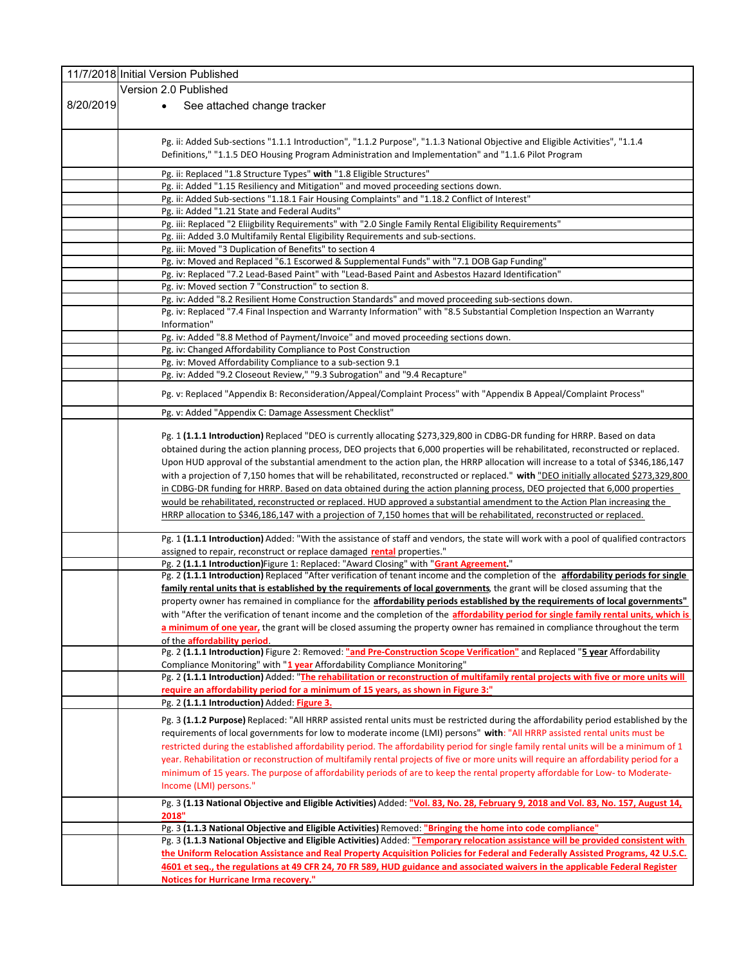|           | 11/7/2018 Initial Version Published                                                                                                                                                                                           |
|-----------|-------------------------------------------------------------------------------------------------------------------------------------------------------------------------------------------------------------------------------|
|           | Version 2.0 Published                                                                                                                                                                                                         |
| 8/20/2019 | See attached change tracker<br>$\bullet$                                                                                                                                                                                      |
|           |                                                                                                                                                                                                                               |
|           |                                                                                                                                                                                                                               |
|           | Pg. ii: Added Sub-sections "1.1.1 Introduction", "1.1.2 Purpose", "1.1.3 National Objective and Eligible Activities", "1.1.4                                                                                                  |
|           | Definitions," "1.1.5 DEO Housing Program Administration and Implementation" and "1.1.6 Pilot Program                                                                                                                          |
|           | Pg. ii: Replaced "1.8 Structure Types" with "1.8 Eligible Structures"                                                                                                                                                         |
|           | Pg. ii: Added "1.15 Resiliency and Mitigation" and moved proceeding sections down.                                                                                                                                            |
|           | Pg. ii: Added Sub-sections "1.18.1 Fair Housing Complaints" and "1.18.2 Conflict of Interest"                                                                                                                                 |
|           | Pg. ii: Added "1.21 State and Federal Audits"                                                                                                                                                                                 |
|           | Pg. iii: Replaced "2 Eliigbility Requirements" with "2.0 Single Family Rental Eligibility Requirements"                                                                                                                       |
|           | Pg. iii: Added 3.0 Multifamily Rental Eligibility Requirements and sub-sections.                                                                                                                                              |
|           | Pg. iii: Moved "3 Duplication of Benefits" to section 4                                                                                                                                                                       |
|           | Pg. iv: Moved and Replaced "6.1 Escorwed & Supplemental Funds" with "7.1 DOB Gap Funding"                                                                                                                                     |
|           | Pg. iv: Replaced "7.2 Lead-Based Paint" with "Lead-Based Paint and Asbestos Hazard Identification"                                                                                                                            |
|           | Pg. iv: Moved section 7 "Construction" to section 8.                                                                                                                                                                          |
|           | Pg. iv: Added "8.2 Resilient Home Construction Standards" and moved proceeding sub-sections down.<br>Pg. iv: Replaced "7.4 Final Inspection and Warranty Information" with "8.5 Substantial Completion Inspection an Warranty |
|           | Information"                                                                                                                                                                                                                  |
|           | Pg. iv: Added "8.8 Method of Payment/Invoice" and moved proceeding sections down.                                                                                                                                             |
|           | Pg. iv: Changed Affordability Compliance to Post Construction                                                                                                                                                                 |
|           | Pg. iv: Moved Affordability Compliance to a sub-section 9.1                                                                                                                                                                   |
|           | Pg. iv: Added "9.2 Closeout Review," "9.3 Subrogation" and "9.4 Recapture"                                                                                                                                                    |
|           |                                                                                                                                                                                                                               |
|           | Pg. v: Replaced "Appendix B: Reconsideration/Appeal/Complaint Process" with "Appendix B Appeal/Complaint Process"                                                                                                             |
|           | Pg. v: Added "Appendix C: Damage Assessment Checklist"                                                                                                                                                                        |
|           |                                                                                                                                                                                                                               |
|           | Pg. 1 (1.1.1 Introduction) Replaced "DEO is currently allocating \$273,329,800 in CDBG-DR funding for HRRP. Based on data                                                                                                     |
|           | obtained during the action planning process, DEO projects that 6,000 properties will be rehabilitated, reconstructed or replaced.                                                                                             |
|           | Upon HUD approval of the substantial amendment to the action plan, the HRRP allocation will increase to a total of \$346,186,147                                                                                              |
|           | with a projection of 7,150 homes that will be rehabilitated, reconstructed or replaced." with "DEO initially allocated \$273,329,800                                                                                          |
|           | in CDBG-DR funding for HRRP. Based on data obtained during the action planning process, DEO projected that 6,000 properties                                                                                                   |
|           | would be rehabilitated, reconstructed or replaced. HUD approved a substantial amendment to the Action Plan increasing the                                                                                                     |
|           | HRRP allocation to \$346,186,147 with a projection of 7,150 homes that will be rehabilitated, reconstructed or replaced.                                                                                                      |
|           | Pg. 1 (1.1.1 Introduction) Added: "With the assistance of staff and vendors, the state will work with a pool of qualified contractors                                                                                         |
|           | assigned to repair, reconstruct or replace damaged rental properties."                                                                                                                                                        |
|           | Pg. 2 (1.1.1 Introduction) Figure 1: Replaced: "Award Closing" with "Grant Agreement."                                                                                                                                        |
|           | Pg. 2 (1.1.1 Introduction) Replaced "After verification of tenant income and the completion of the affordability periods for single                                                                                           |
|           | family rental units that is established by the requirements of local governments, the grant will be closed assuming that the                                                                                                  |
|           | property owner has remained in compliance for the affordability periods established by the requirements of local governments"                                                                                                 |
|           | with "After the verification of tenant income and the completion of the affordability period for single family rental units, which is                                                                                         |
|           | a minimum of one year, the grant will be closed assuming the property owner has remained in compliance throughout the term                                                                                                    |
|           | of the affordability period.<br>Pg. 2 (1.1.1 Introduction) Figure 2: Removed: "and Pre-Construction Scope Verification" and Replaced "5 year Affordability                                                                    |
|           | Compliance Monitoring" with "1 year Affordability Compliance Monitoring"                                                                                                                                                      |
|           | Pg. 2 (1.1.1 Introduction) Added: "The rehabilitation or reconstruction of multifamily rental projects with five or more units will                                                                                           |
|           | require an affordability period for a minimum of 15 years, as shown in Figure 3:"                                                                                                                                             |
|           | Pg. 2 (1.1.1 Introduction) Added: Figure 3.                                                                                                                                                                                   |
|           | Pg. 3 (1.1.2 Purpose) Replaced: "All HRRP assisted rental units must be restricted during the affordability period established by the                                                                                         |
|           | requirements of local governments for low to moderate income (LMI) persons" with: "All HRRP assisted rental units must be                                                                                                     |
|           | restricted during the established affordability period. The affordability period for single family rental units will be a minimum of 1                                                                                        |
|           | year. Rehabilitation or reconstruction of multifamily rental projects of five or more units will require an affordability period for a                                                                                        |
|           | minimum of 15 years. The purpose of affordability periods of are to keep the rental property affordable for Low- to Moderate-                                                                                                 |
|           | Income (LMI) persons."                                                                                                                                                                                                        |
|           | Pg. 3 (1.13 National Objective and Eligible Activities) Added: "Vol. 83, No. 28, February 9, 2018 and Vol. 83, No. 157, August 14,                                                                                            |
|           | 2018"                                                                                                                                                                                                                         |
|           | Pg. 3 (1.1.3 National Objective and Eligible Activities) Removed: "Bringing the home into code compliance"                                                                                                                    |
|           | Pg. 3 (1.1.3 National Objective and Eligible Activities) Added: "Temporary relocation assistance will be provided consistent with                                                                                             |
|           | the Uniform Relocation Assistance and Real Property Acquisition Policies for Federal and Federally Assisted Programs, 42 U.S.C.                                                                                               |
|           | 4601 et seq., the regulations at 49 CFR 24, 70 FR 589, HUD guidance and associated waivers in the applicable Federal Register                                                                                                 |
|           | <b>Notices for Hurricane Irma recovery."</b>                                                                                                                                                                                  |
|           |                                                                                                                                                                                                                               |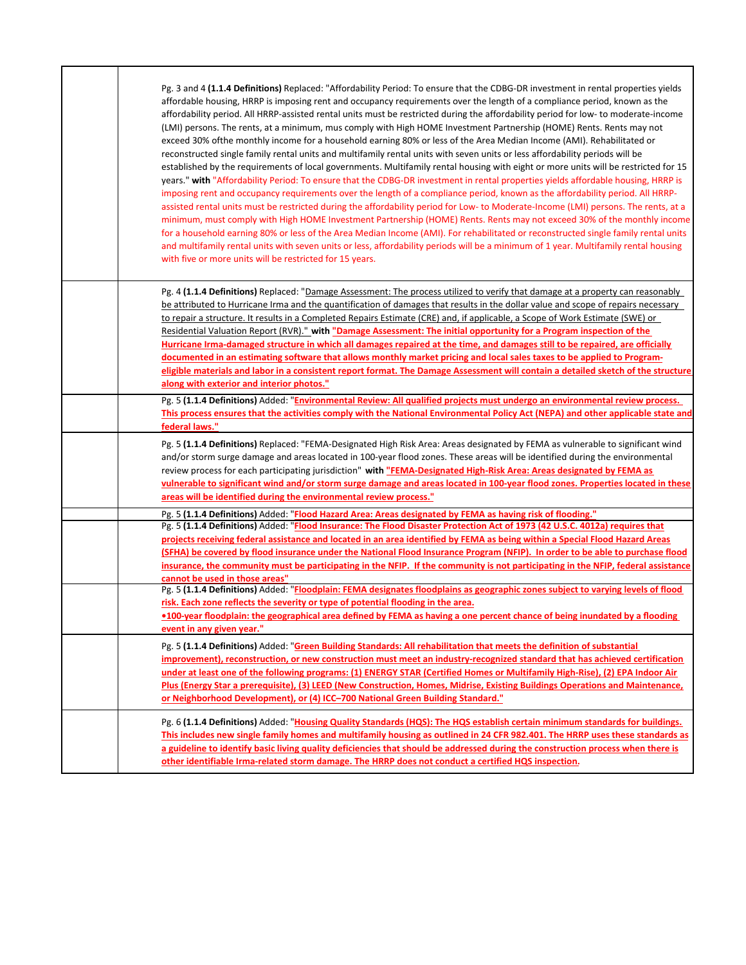| Pg. 3 and 4 (1.1.4 Definitions) Replaced: "Affordability Period: To ensure that the CDBG-DR investment in rental properties yields<br>affordable housing, HRRP is imposing rent and occupancy requirements over the length of a compliance period, known as the<br>affordability period. All HRRP-assisted rental units must be restricted during the affordability period for low- to moderate-income<br>(LMI) persons. The rents, at a minimum, mus comply with High HOME Investment Partnership (HOME) Rents. Rents may not<br>exceed 30% ofthe monthly income for a household earning 80% or less of the Area Median Income (AMI). Rehabilitated or<br>reconstructed single family rental units and multifamily rental units with seven units or less affordability periods will be<br>established by the requirements of local governments. Multifamily rental housing with eight or more units will be restricted for 15<br>years." with "Affordability Period: To ensure that the CDBG-DR investment in rental properties yields affordable housing, HRRP is<br>imposing rent and occupancy requirements over the length of a compliance period, known as the affordability period. All HRRP-<br>assisted rental units must be restricted during the affordability period for Low-to Moderate-Income (LMI) persons. The rents, at a<br>minimum, must comply with High HOME Investment Partnership (HOME) Rents. Rents may not exceed 30% of the monthly income<br>for a household earning 80% or less of the Area Median Income (AMI). For rehabilitated or reconstructed single family rental units<br>and multifamily rental units with seven units or less, affordability periods will be a minimum of 1 year. Multifamily rental housing<br>with five or more units will be restricted for 15 years. |
|-----------------------------------------------------------------------------------------------------------------------------------------------------------------------------------------------------------------------------------------------------------------------------------------------------------------------------------------------------------------------------------------------------------------------------------------------------------------------------------------------------------------------------------------------------------------------------------------------------------------------------------------------------------------------------------------------------------------------------------------------------------------------------------------------------------------------------------------------------------------------------------------------------------------------------------------------------------------------------------------------------------------------------------------------------------------------------------------------------------------------------------------------------------------------------------------------------------------------------------------------------------------------------------------------------------------------------------------------------------------------------------------------------------------------------------------------------------------------------------------------------------------------------------------------------------------------------------------------------------------------------------------------------------------------------------------------------------------------------------------------------------------------------------------------------------------|
| Pg. 4 (1.1.4 Definitions) Replaced: "Damage Assessment: The process utilized to verify that damage at a property can reasonably<br>be attributed to Hurricane Irma and the quantification of damages that results in the dollar value and scope of repairs necessary<br>to repair a structure. It results in a Completed Repairs Estimate (CRE) and, if applicable, a Scope of Work Estimate (SWE) or<br>Residential Valuation Report (RVR)." with "Damage Assessment: The initial opportunity for a Program inspection of the<br>Hurricane Irma-damaged structure in which all damages repaired at the time, and damages still to be repaired, are officially<br>documented in an estimating software that allows monthly market pricing and local sales taxes to be applied to Program-<br>eligible materials and labor in a consistent report format. The Damage Assessment will contain a detailed sketch of the structure<br>along with exterior and interior photos."                                                                                                                                                                                                                                                                                                                                                                                                                                                                                                                                                                                                                                                                                                                                                                                                                                     |
| Pg. 5 (1.1.4 Definitions) Added: "Environmental Review: All qualified projects must undergo an environmental review process.<br>This process ensures that the activities comply with the National Environmental Policy Act (NEPA) and other applicable state and<br>federal laws."                                                                                                                                                                                                                                                                                                                                                                                                                                                                                                                                                                                                                                                                                                                                                                                                                                                                                                                                                                                                                                                                                                                                                                                                                                                                                                                                                                                                                                                                                                                              |
| Pg. 5 (1.1.4 Definitions) Replaced: "FEMA-Designated High Risk Area: Areas designated by FEMA as vulnerable to significant wind<br>and/or storm surge damage and areas located in 100-year flood zones. These areas will be identified during the environmental<br>review process for each participating jurisdiction" with "FEMA-Designated High-Risk Area: Areas designated by FEMA as<br>vulnerable to significant wind and/or storm surge damage and areas located in 100-year flood zones. Properties located in these<br>areas will be identified during the environmental review process."                                                                                                                                                                                                                                                                                                                                                                                                                                                                                                                                                                                                                                                                                                                                                                                                                                                                                                                                                                                                                                                                                                                                                                                                               |
| Pg. 5 (1.1.4 Definitions) Added: "Flood Hazard Area: Areas designated by FEMA as having risk of flooding."                                                                                                                                                                                                                                                                                                                                                                                                                                                                                                                                                                                                                                                                                                                                                                                                                                                                                                                                                                                                                                                                                                                                                                                                                                                                                                                                                                                                                                                                                                                                                                                                                                                                                                      |
| Pg. 5 (1.1.4 Definitions) Added: "Flood Insurance: The Flood Disaster Protection Act of 1973 (42 U.S.C. 4012a) requires that<br>projects receiving federal assistance and located in an area identified by FEMA as being within a Special Flood Hazard Areas<br>(SFHA) be covered by flood insurance under the National Flood Insurance Program (NFIP). In order to be able to purchase flood<br>insurance, the community must be participating in the NFIP. If the community is not participating in the NFIP, federal assistance<br>cannot be used in those areas"                                                                                                                                                                                                                                                                                                                                                                                                                                                                                                                                                                                                                                                                                                                                                                                                                                                                                                                                                                                                                                                                                                                                                                                                                                            |
| Pg. 5 (1.1.4 Definitions) Added: "Floodplain: FEMA designates floodplains as geographic zones subject to varying levels of flood<br>risk. Each zone reflects the severity or type of potential flooding in the area.<br>•100-year floodplain: the geographical area defined by FEMA as having a one percent chance of being inundated by a flooding<br>event in any given year."                                                                                                                                                                                                                                                                                                                                                                                                                                                                                                                                                                                                                                                                                                                                                                                                                                                                                                                                                                                                                                                                                                                                                                                                                                                                                                                                                                                                                                |
| Pg. 5 (1.1.4 Definitions) Added: "Green Building Standards: All rehabilitation that meets the definition of substantial<br>improvement), reconstruction, or new construction must meet an industry-recognized standard that has achieved certification<br>under at least one of the following programs: (1) ENERGY STAR (Certified Homes or Multifamily High-Rise), (2) EPA Indoor Air<br>Plus (Energy Star a prerequisite), (3) LEED (New Construction, Homes, Midrise, Existing Buildings Operations and Maintenance,<br>or Neighborhood Development), or (4) ICC-700 National Green Building Standard."                                                                                                                                                                                                                                                                                                                                                                                                                                                                                                                                                                                                                                                                                                                                                                                                                                                                                                                                                                                                                                                                                                                                                                                                      |
| Pg. 6 (1.1.4 Definitions) Added: "Housing Quality Standards (HQS): The HQS establish certain minimum standards for buildings.<br>This includes new single family homes and multifamily housing as outlined in 24 CFR 982.401. The HRRP uses these standards as<br>a guideline to identify basic living quality deficiencies that should be addressed during the construction process when there is<br>other identifiable Irma-related storm damage. The HRRP does not conduct a certified HQS inspection.                                                                                                                                                                                                                                                                                                                                                                                                                                                                                                                                                                                                                                                                                                                                                                                                                                                                                                                                                                                                                                                                                                                                                                                                                                                                                                       |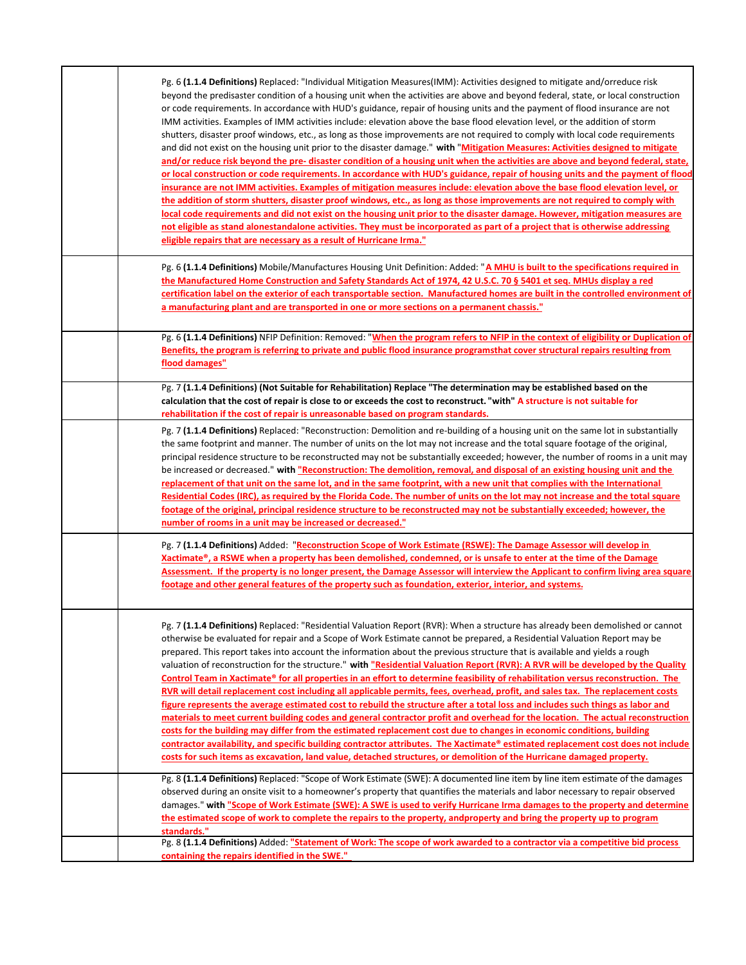| Pg. 6 (1.1.4 Definitions) Replaced: "Individual Mitigation Measures (IMM): Activities designed to mitigate and/orreduce risk<br>beyond the predisaster condition of a housing unit when the activities are above and beyond federal, state, or local construction<br>or code requirements. In accordance with HUD's guidance, repair of housing units and the payment of flood insurance are not<br>IMM activities. Examples of IMM activities include: elevation above the base flood elevation level, or the addition of storm<br>shutters, disaster proof windows, etc., as long as those improvements are not required to comply with local code requirements<br>and did not exist on the housing unit prior to the disaster damage." with "Mitigation Measures: Activities designed to mitigate<br>and/or reduce risk beyond the pre-disaster condition of a housing unit when the activities are above and beyond federal, state,<br>or local construction or code requirements. In accordance with HUD's guidance, repair of housing units and the payment of flood<br>insurance are not IMM activities. Examples of mitigation measures include: elevation above the base flood elevation level, or<br>the addition of storm shutters, disaster proof windows, etc., as long as those improvements are not required to comply with<br>local code requirements and did not exist on the housing unit prior to the disaster damage. However, mitigation measures are<br>not eligible as stand alonestandalone activities. They must be incorporated as part of a project that is otherwise addressing<br>eligible repairs that are necessary as a result of Hurricane Irma." |
|------------------------------------------------------------------------------------------------------------------------------------------------------------------------------------------------------------------------------------------------------------------------------------------------------------------------------------------------------------------------------------------------------------------------------------------------------------------------------------------------------------------------------------------------------------------------------------------------------------------------------------------------------------------------------------------------------------------------------------------------------------------------------------------------------------------------------------------------------------------------------------------------------------------------------------------------------------------------------------------------------------------------------------------------------------------------------------------------------------------------------------------------------------------------------------------------------------------------------------------------------------------------------------------------------------------------------------------------------------------------------------------------------------------------------------------------------------------------------------------------------------------------------------------------------------------------------------------------------------------------------------------------------------------------------------|
| Pg. 6 (1.1.4 Definitions) Mobile/Manufactures Housing Unit Definition: Added: "A MHU is built to the specifications required in<br>the Manufactured Home Construction and Safety Standards Act of 1974, 42 U.S.C. 70 § 5401 et seq. MHUs display a red<br>certification label on the exterior of each transportable section. Manufactured homes are built in the controlled environment of<br>a manufacturing plant and are transported in one or more sections on a permanent chassis."                                                                                                                                                                                                                                                                                                                                                                                                                                                                                                                                                                                                                                                                                                                                                                                                                                                                                                                                                                                                                                                                                                                                                                                           |
| Pg. 6 (1.1.4 Definitions) NFIP Definition: Removed: "When the program refers to NFIP in the context of eligibility or Duplication of<br>Benefits, the program is referring to private and public flood insurance programsthat cover structural repairs resulting from<br>flood damages"                                                                                                                                                                                                                                                                                                                                                                                                                                                                                                                                                                                                                                                                                                                                                                                                                                                                                                                                                                                                                                                                                                                                                                                                                                                                                                                                                                                            |
| Pg. 7 (1.1.4 Definitions) (Not Suitable for Rehabilitation) Replace "The determination may be established based on the<br>calculation that the cost of repair is close to or exceeds the cost to reconstruct. "with" A structure is not suitable for<br>rehabilitation if the cost of repair is unreasonable based on program standards.                                                                                                                                                                                                                                                                                                                                                                                                                                                                                                                                                                                                                                                                                                                                                                                                                                                                                                                                                                                                                                                                                                                                                                                                                                                                                                                                           |
| Pg. 7 (1.1.4 Definitions) Replaced: "Reconstruction: Demolition and re-building of a housing unit on the same lot in substantially<br>the same footprint and manner. The number of units on the lot may not increase and the total square footage of the original,<br>principal residence structure to be reconstructed may not be substantially exceeded; however, the number of rooms in a unit may<br>be increased or decreased." with "Reconstruction: The demolition, removal, and disposal of an existing housing unit and the<br>replacement of that unit on the same lot, and in the same footprint, with a new unit that complies with the International<br>Residential Codes (IRC), as required by the Florida Code. The number of units on the lot may not increase and the total square<br>footage of the original, principal residence structure to be reconstructed may not be substantially exceeded; however, the<br>number of rooms in a unit may be increased or decreased."                                                                                                                                                                                                                                                                                                                                                                                                                                                                                                                                                                                                                                                                                     |
| Pg. 7 (1.1.4 Definitions) Added: "Reconstruction Scope of Work Estimate (RSWE): The Damage Assessor will develop in<br>Xactimate®, a RSWE when a property has been demolished, condemned, or is unsafe to enter at the time of the Damage<br>Assessment. If the property is no longer present, the Damage Assessor will interview the Applicant to confirm living area square<br>footage and other general features of the property such as foundation, exterior, interior, and systems.                                                                                                                                                                                                                                                                                                                                                                                                                                                                                                                                                                                                                                                                                                                                                                                                                                                                                                                                                                                                                                                                                                                                                                                           |
| Pg. 7 (1.1.4 Definitions) Replaced: "Residential Valuation Report (RVR): When a structure has already been demolished or cannot<br>otherwise be evaluated for repair and a Scope of Work Estimate cannot be prepared, a Residential Valuation Report may be<br>prepared. This report takes into account the information about the previous structure that is available and yields a rough<br>valuation of reconstruction for the structure." with "Residential Valuation Report (RVR): A RVR will be developed by the Quality<br>Control Team in Xactimate® for all properties in an effort to determine feasibility of rehabilitation versus reconstruction. The<br>RVR will detail replacement cost including all applicable permits, fees, overhead, profit, and sales tax. The replacement costs<br>figure represents the average estimated cost to rebuild the structure after a total loss and includes such things as labor and<br>materials to meet current building codes and general contractor profit and overhead for the location. The actual reconstruction<br>costs for the building may differ from the estimated replacement cost due to changes in economic conditions, building<br>contractor availability, and specific building contractor attributes. The Xactimate® estimated replacement cost does not include<br>costs for such items as excavation, land value, detached structures, or demolition of the Hurricane damaged property.                                                                                                                                                                                                                    |
| Pg. 8 (1.1.4 Definitions) Replaced: "Scope of Work Estimate (SWE): A documented line item by line item estimate of the damages<br>observed during an onsite visit to a homeowner's property that quantifies the materials and labor necessary to repair observed<br>damages." with "Scope of Work Estimate (SWE): A SWE is used to verify Hurricane Irma damages to the property and determine<br>the estimated scope of work to complete the repairs to the property, andproperty and bring the property up to program<br>standards."                                                                                                                                                                                                                                                                                                                                                                                                                                                                                                                                                                                                                                                                                                                                                                                                                                                                                                                                                                                                                                                                                                                                             |
| Pg. 8 (1.1.4 Definitions) Added: "Statement of Work: The scope of work awarded to a contractor via a competitive bid process<br>containing the repairs identified in the SWE."                                                                                                                                                                                                                                                                                                                                                                                                                                                                                                                                                                                                                                                                                                                                                                                                                                                                                                                                                                                                                                                                                                                                                                                                                                                                                                                                                                                                                                                                                                     |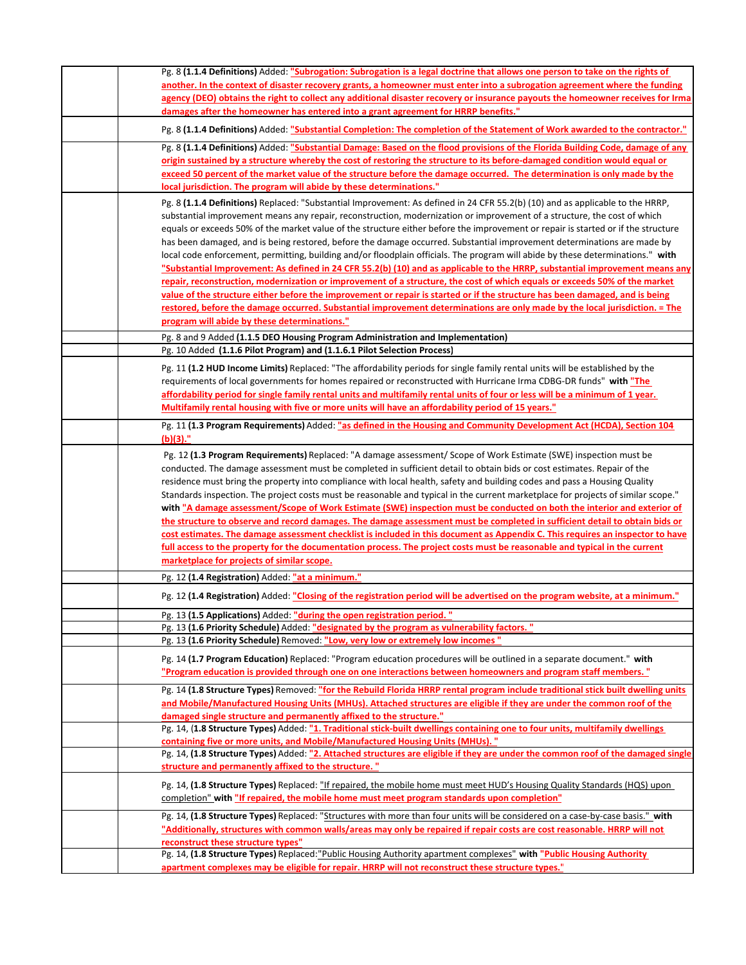| Pg. 8 (1.1.4 Definitions) Added: "Subrogation: Subrogation is a legal doctrine that allows one person to take on the rights of                                                  |
|---------------------------------------------------------------------------------------------------------------------------------------------------------------------------------|
| another. In the context of disaster recovery grants, a homeowner must enter into a subrogation agreement where the funding                                                      |
| agency (DEO) obtains the right to collect any additional disaster recovery or insurance payouts the homeowner receives for Irma                                                 |
| damages after the homeowner has entered into a grant agreement for HRRP benefits."                                                                                              |
|                                                                                                                                                                                 |
| Pg. 8 (1.1.4 Definitions) Added: "Substantial Completion: The completion of the Statement of Work awarded to the contractor."                                                   |
| Pg. 8 (1.1.4 Definitions) Added: "Substantial Damage: Based on the flood provisions of the Florida Building Code, damage of any                                                 |
| origin sustained by a structure whereby the cost of restoring the structure to its before-damaged condition would equal or                                                      |
| exceed 50 percent of the market value of the structure before the damage occurred. The determination is only made by the                                                        |
| local jurisdiction. The program will abide by these determinations."                                                                                                            |
| Pg. 8 (1.1.4 Definitions) Replaced: "Substantial Improvement: As defined in 24 CFR 55.2(b) (10) and as applicable to the HRRP,                                                  |
| substantial improvement means any repair, reconstruction, modernization or improvement of a structure, the cost of which                                                        |
|                                                                                                                                                                                 |
| equals or exceeds 50% of the market value of the structure either before the improvement or repair is started or if the structure                                               |
| has been damaged, and is being restored, before the damage occurred. Substantial improvement determinations are made by                                                         |
| local code enforcement, permitting, building and/or floodplain officials. The program will abide by these determinations." with                                                 |
| "Substantial Improvement: As defined in 24 CFR 55.2(b) (10) and as applicable to the HRRP, substantial improvement means any                                                    |
| repair, reconstruction, modernization or improvement of a structure, the cost of which equals or exceeds 50% of the market                                                      |
| value of the structure either before the improvement or repair is started or if the structure has been damaged, and is being                                                    |
| restored, before the damage occurred. Substantial improvement determinations are only made by the local jurisdiction. = The                                                     |
| program will abide by these determinations."                                                                                                                                    |
| Pg. 8 and 9 Added (1.1.5 DEO Housing Program Administration and Implementation)                                                                                                 |
| Pg. 10 Added (1.1.6 Pilot Program) and (1.1.6.1 Pilot Selection Process)                                                                                                        |
|                                                                                                                                                                                 |
| Pg. 11 (1.2 HUD Income Limits) Replaced: "The affordability periods for single family rental units will be established by the                                                   |
| requirements of local governments for homes repaired or reconstructed with Hurricane Irma CDBG-DR funds" with "The                                                              |
| affordability period for single family rental units and multifamily rental units of four or less will be a minimum of 1 year.                                                   |
| <b>Multifamily rental housing with five or more units will have an affordability period of 15 years."</b>                                                                       |
|                                                                                                                                                                                 |
| Pg. 11 (1.3 Program Requirements) Added: "as defined in the Housing and Community Development Act (HCDA), Section 104                                                           |
| $(b)(3)$ ."                                                                                                                                                                     |
| Pg. 12 (1.3 Program Requirements) Replaced: "A damage assessment/ Scope of Work Estimate (SWE) inspection must be                                                               |
| conducted. The damage assessment must be completed in sufficient detail to obtain bids or cost estimates. Repair of the                                                         |
| residence must bring the property into compliance with local health, safety and building codes and pass a Housing Quality                                                       |
| Standards inspection. The project costs must be reasonable and typical in the current marketplace for projects of similar scope."                                               |
| with "A damage assessment/Scope of Work Estimate (SWE) inspection must be conducted on both the interior and exterior of                                                        |
| the structure to observe and record damages. The damage assessment must be completed in sufficient detail to obtain bids or                                                     |
| cost estimates. The damage assessment checklist is included in this document as Appendix C. This requires an inspector to have                                                  |
| full access to the property for the documentation process. The project costs must be reasonable and typical in the current                                                      |
| marketplace for projects of similar scope.                                                                                                                                      |
|                                                                                                                                                                                 |
| Pg. 12 (1.4 Registration) Added: "at a minimum."                                                                                                                                |
| Pg. 12 (1.4 Registration) Added: "Closing of the registration period will be advertised on the program website, at a minimum."                                                  |
|                                                                                                                                                                                 |
| Pg. 13 (1.5 Applications) Added: "during the open registration period."                                                                                                         |
| Pg. 13 (1.6 Priority Schedule) Added: "designated by the program as vulnerability factors."<br>Pg. 13 (1.6 Priority Schedule) Removed: "Low, very low or extremely low incomes" |
|                                                                                                                                                                                 |
| Pg. 14 (1.7 Program Education) Replaced: "Program education procedures will be outlined in a separate document." with                                                           |
| "Program education is provided through one on one interactions between homeowners and program staff members."                                                                   |
| Pg. 14 (1.8 Structure Types) Removed: "for the Rebuild Florida HRRP rental program include traditional stick built dwelling units                                               |
| and Mobile/Manufactured Housing Units (MHUs). Attached structures are eligible if they are under the common roof of the                                                         |
| damaged single structure and permanently affixed to the structure."                                                                                                             |
| Pg. 14, (1.8 Structure Types) Added: "1. Traditional stick-built dwellings containing one to four units, multifamily dwellings                                                  |
| containing five or more units, and Mobile/Manufactured Housing Units (MHUs). "                                                                                                  |
| Pg. 14, (1.8 Structure Types) Added: "2. Attached structures are eligible if they are under the common roof of the damaged single                                               |
|                                                                                                                                                                                 |
| structure and permanently affixed to the structure."                                                                                                                            |
| Pg. 14, (1.8 Structure Types) Replaced: "If repaired, the mobile home must meet HUD's Housing Quality Standards (HQS) upon                                                      |
| completion" with "If repaired, the mobile home must meet program standards upon completion"                                                                                     |
|                                                                                                                                                                                 |
| Pg. 14, (1.8 Structure Types) Replaced: "Structures with more than four units will be considered on a case-by-case basis." with                                                 |
| "Additionally, structures with common walls/areas may only be repaired if repair costs are cost reasonable. HRRP will not                                                       |
| reconstruct these structure types"                                                                                                                                              |
| Pg. 14, (1.8 Structure Types) Replaced: "Public Housing Authority apartment complexes" with "Public Housing Authority                                                           |
| apartment complexes may be eligible for repair. HRRP will not reconstruct these structure types."                                                                               |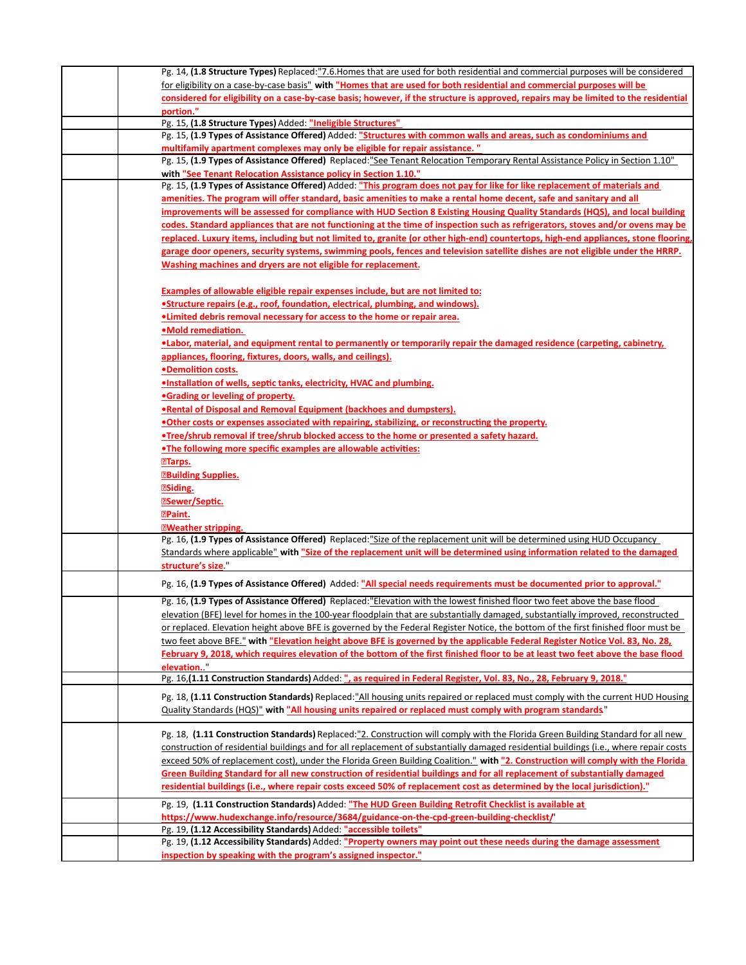| Pg. 14, (1.8 Structure Types) Replaced: "7.6. Homes that are used for both residential and commercial purposes will be considered                                                           |
|---------------------------------------------------------------------------------------------------------------------------------------------------------------------------------------------|
| for eligibility on a case-by-case basis" with "Homes that are used for both residential and commercial purposes will be                                                                     |
| considered for eligibility on a case-by-case basis; however, if the structure is approved, repairs may be limited to the residential                                                        |
| portion."                                                                                                                                                                                   |
| Pg. 15, (1.8 Structure Types) Added: "Ineligible Structures"                                                                                                                                |
| Pg. 15, (1.9 Types of Assistance Offered) Added: "Structures with common walls and areas, such as condominiums and                                                                          |
| multifamily apartment complexes may only be eligible for repair assistance."                                                                                                                |
| Pg. 15, (1.9 Types of Assistance Offered) Replaced: "See Tenant Relocation Temporary Rental Assistance Policy in Section 1.10"                                                              |
| with "See Tenant Relocation Assistance policy in Section 1.10."                                                                                                                             |
| Pg. 15, (1.9 Types of Assistance Offered) Added: "This program does not pay for like for like replacement of materials and                                                                  |
| amenities. The program will offer standard, basic amenities to make a rental home decent, safe and sanitary and all                                                                         |
| improvements will be assessed for compliance with HUD Section 8 Existing Housing Quality Standards (HQS), and local building                                                                |
| codes. Standard appliances that are not functioning at the time of inspection such as refrigerators, stoves and/or ovens may be                                                             |
| replaced. Luxury items, including but not limited to, granite (or other high-end) countertops, high-end appliances, stone flooring,                                                         |
| garage door openers, security systems, swimming pools, fences and television satellite dishes are not eligible under the HRRP.                                                              |
| Washing machines and dryers are not eligible for replacement.                                                                                                                               |
|                                                                                                                                                                                             |
|                                                                                                                                                                                             |
| <b>Examples of allowable eligible repair expenses include, but are not limited to:</b>                                                                                                      |
| •Structure repairs (e.g., roof, foundation, electrical, plumbing, and windows).                                                                                                             |
| . Limited debris removal necessary for access to the home or repair area.                                                                                                                   |
| <b>•Mold remediation.</b>                                                                                                                                                                   |
| <b>•Labor, material, and equipment rental to permanently or temporarily repair the damaged residence (carpeting, cabinetry,</b>                                                             |
| appliances, flooring, fixtures, doors, walls, and ceilings).                                                                                                                                |
| •Demolition costs.                                                                                                                                                                          |
| . Installation of wells, septic tanks, electricity, HVAC and plumbing.                                                                                                                      |
| <b>•Grading or leveling of property.</b>                                                                                                                                                    |
| . Rental of Disposal and Removal Equipment (backhoes and dumpsters).                                                                                                                        |
| . Other costs or expenses associated with repairing, stabilizing, or reconstructing the property.                                                                                           |
| •Tree/shrub removal if tree/shrub blocked access to the home or presented a safety hazard.                                                                                                  |
| •The following more specific examples are allowable activities:                                                                                                                             |
| <b>ETarps.</b>                                                                                                                                                                              |
| <b>EBuilding Supplies.</b>                                                                                                                                                                  |
| <b>ESiding.</b>                                                                                                                                                                             |
| <b>ESewer/Septic.</b>                                                                                                                                                                       |
| <b>PPaint.</b>                                                                                                                                                                              |
| <b>ZWeather stripping.</b>                                                                                                                                                                  |
| Pg. 16, (1.9 Types of Assistance Offered) Replaced:"Size of the replacement unit will be determined using HUD Occupancy                                                                     |
| Standards where applicable" with "Size of the replacement unit will be determined using information related to the damaged                                                                  |
| structure's size.                                                                                                                                                                           |
|                                                                                                                                                                                             |
| Pg. 16, (1.9 Types of Assistance Offered) Added: "All special needs requirements must be documented prior to approval."                                                                     |
| Pg. 16, (1.9 Types of Assistance Offered) Replaced: "Elevation with the lowest finished floor two feet above the base flood                                                                 |
| <u>elevation (BFE) level for homes in the 100-year floodplain that are substantially damaged, substantially improved, reconstructed</u>                                                     |
| or replaced. Elevation height above BFE is governed by the Federal Register Notice, the bottom of the first finished floor must be                                                          |
| two feet above BFE." with "Elevation height above BFE is governed by the applicable Federal Register Notice Vol. 83, No. 28,                                                                |
| February 9, 2018, which requires elevation of the bottom of the first finished floor to be at least two feet above the base flood                                                           |
| elevation.                                                                                                                                                                                  |
| Pg. 16,(1.11 Construction Standards) Added: ", as required in Federal Register, Vol. 83, No., 28, February 9, 2018."                                                                        |
|                                                                                                                                                                                             |
| Pg. 18, (1.11 Construction Standards) Replaced: "All housing units repaired or replaced must comply with the current HUD Housing                                                            |
| Quality Standards (HQS)" with "All housing units repaired or replaced must comply with program standards"                                                                                   |
|                                                                                                                                                                                             |
| Pg. 18, (1.11 Construction Standards) Replaced:"2. Construction will comply with the Florida Green Building Standard for all new                                                            |
| construction of residential buildings and for all replacement of substantially damaged residential buildings (i.e., where repair costs                                                      |
| exceed 50% of replacement cost), under the Florida Green Building Coalition." with "2. Construction will comply with the Florida                                                            |
| Green Building Standard for all new construction of residential buildings and for all replacement of substantially damaged                                                                  |
| residential buildings (i.e., where repair costs exceed 50% of replacement cost as determined by the local jurisdiction)."                                                                   |
| Pg. 19, (1.11 Construction Standards) Added: "The HUD Green Building Retrofit Checklist is available at                                                                                     |
| https://www.hudexchange.info/resource/3684/guidance-on-the-cpd-green-building-checklist/"                                                                                                   |
|                                                                                                                                                                                             |
|                                                                                                                                                                                             |
| Pg. 19, (1.12 Accessibility Standards) Added: "accessible toilets"<br>Pg. 19, (1.12 Accessibility Standards) Added: "Property owners may point out these needs during the damage assessment |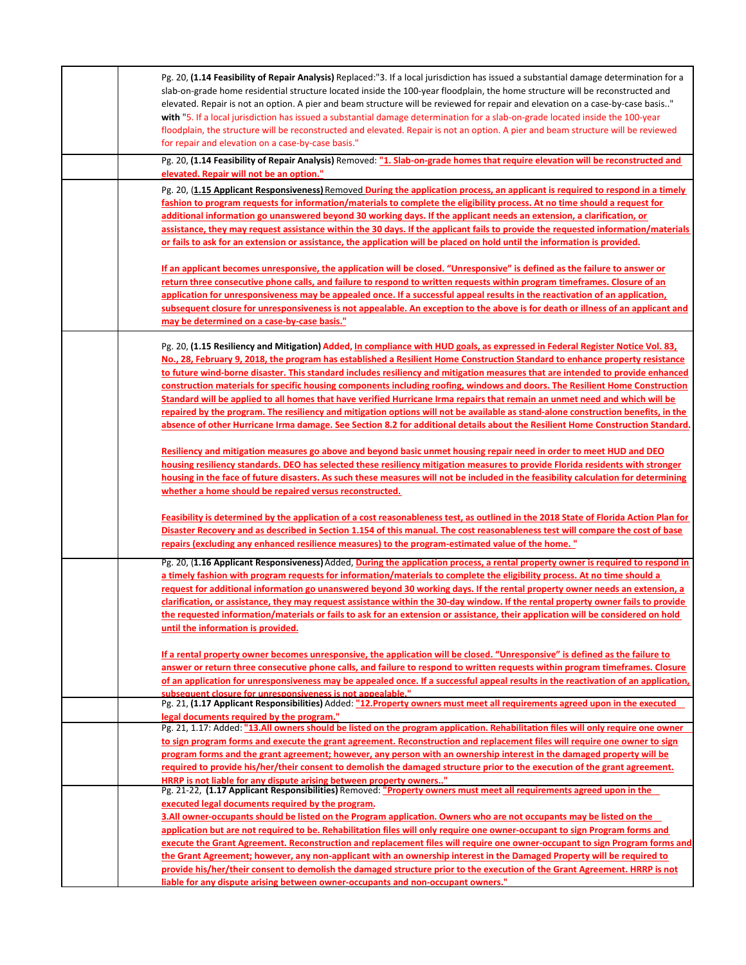| Pg. 20, (1.14 Feasibility of Repair Analysis) Replaced:"3. If a local jurisdiction has issued a substantial damage determination for a<br>slab-on-grade home residential structure located inside the 100-year floodplain, the home structure will be reconstructed and<br>elevated. Repair is not an option. A pier and beam structure will be reviewed for repair and elevation on a case-by-case basis"<br>with "5. If a local jurisdiction has issued a substantial damage determination for a slab-on-grade located inside the 100-year<br>floodplain, the structure will be reconstructed and elevated. Repair is not an option. A pier and beam structure will be reviewed<br>for repair and elevation on a case-by-case basis."<br>Pg. 20, (1.14 Feasibility of Repair Analysis) Removed: "1. Slab-on-grade homes that require elevation will be reconstructed and |
|----------------------------------------------------------------------------------------------------------------------------------------------------------------------------------------------------------------------------------------------------------------------------------------------------------------------------------------------------------------------------------------------------------------------------------------------------------------------------------------------------------------------------------------------------------------------------------------------------------------------------------------------------------------------------------------------------------------------------------------------------------------------------------------------------------------------------------------------------------------------------|
| elevated. Repair will not be an option."                                                                                                                                                                                                                                                                                                                                                                                                                                                                                                                                                                                                                                                                                                                                                                                                                                   |
| Pg. 20, (1.15 Applicant Responsiveness) Removed During the application process, an applicant is required to respond in a timely                                                                                                                                                                                                                                                                                                                                                                                                                                                                                                                                                                                                                                                                                                                                            |
| fashion to program requests for information/materials to complete the eligibility process. At no time should a request for                                                                                                                                                                                                                                                                                                                                                                                                                                                                                                                                                                                                                                                                                                                                                 |
| additional information go unanswered beyond 30 working days. If the applicant needs an extension, a clarification, or                                                                                                                                                                                                                                                                                                                                                                                                                                                                                                                                                                                                                                                                                                                                                      |
| assistance, they may request assistance within the 30 days. If the applicant fails to provide the requested information/materials                                                                                                                                                                                                                                                                                                                                                                                                                                                                                                                                                                                                                                                                                                                                          |
| or fails to ask for an extension or assistance, the application will be placed on hold until the information is provided.                                                                                                                                                                                                                                                                                                                                                                                                                                                                                                                                                                                                                                                                                                                                                  |
| If an applicant becomes unresponsive, the application will be closed. "Unresponsive" is defined as the failure to answer or                                                                                                                                                                                                                                                                                                                                                                                                                                                                                                                                                                                                                                                                                                                                                |
| return three consecutive phone calls, and failure to respond to written requests within program timeframes. Closure of an                                                                                                                                                                                                                                                                                                                                                                                                                                                                                                                                                                                                                                                                                                                                                  |
| application for unresponsiveness may be appealed once. If a successful appeal results in the reactivation of an application,                                                                                                                                                                                                                                                                                                                                                                                                                                                                                                                                                                                                                                                                                                                                               |
| subsequent closure for unresponsiveness is not appealable. An exception to the above is for death or illness of an applicant and<br>may be determined on a case-by-case basis."                                                                                                                                                                                                                                                                                                                                                                                                                                                                                                                                                                                                                                                                                            |
|                                                                                                                                                                                                                                                                                                                                                                                                                                                                                                                                                                                                                                                                                                                                                                                                                                                                            |
| Pg. 20, (1.15 Resiliency and Mitigation) Added, In compliance with HUD goals, as expressed in Federal Register Notice Vol. 83,                                                                                                                                                                                                                                                                                                                                                                                                                                                                                                                                                                                                                                                                                                                                             |
| No., 28, February 9, 2018, the program has established a Resilient Home Construction Standard to enhance property resistance                                                                                                                                                                                                                                                                                                                                                                                                                                                                                                                                                                                                                                                                                                                                               |
| to future wind-borne disaster. This standard includes resiliency and mitigation measures that are intended to provide enhanced<br>construction materials for specific housing components including roofing, windows and doors. The Resilient Home Construction                                                                                                                                                                                                                                                                                                                                                                                                                                                                                                                                                                                                             |
| Standard will be applied to all homes that have verified Hurricane Irma repairs that remain an unmet need and which will be                                                                                                                                                                                                                                                                                                                                                                                                                                                                                                                                                                                                                                                                                                                                                |
| repaired by the program. The resiliency and mitigation options will not be available as stand-alone construction benefits, in the                                                                                                                                                                                                                                                                                                                                                                                                                                                                                                                                                                                                                                                                                                                                          |
| absence of other Hurricane Irma damage. See Section 8.2 for additional details about the Resilient Home Construction Standard.                                                                                                                                                                                                                                                                                                                                                                                                                                                                                                                                                                                                                                                                                                                                             |
|                                                                                                                                                                                                                                                                                                                                                                                                                                                                                                                                                                                                                                                                                                                                                                                                                                                                            |
| Resiliency and mitigation measures go above and beyond basic unmet housing repair need in order to meet HUD and DEO                                                                                                                                                                                                                                                                                                                                                                                                                                                                                                                                                                                                                                                                                                                                                        |
| housing resiliency standards. DEO has selected these resiliency mitigation measures to provide Florida residents with stronger<br>housing in the face of future disasters. As such these measures will not be included in the feasibility calculation for determining                                                                                                                                                                                                                                                                                                                                                                                                                                                                                                                                                                                                      |
| whether a home should be repaired versus reconstructed.                                                                                                                                                                                                                                                                                                                                                                                                                                                                                                                                                                                                                                                                                                                                                                                                                    |
|                                                                                                                                                                                                                                                                                                                                                                                                                                                                                                                                                                                                                                                                                                                                                                                                                                                                            |
| Feasibility is determined by the application of a cost reasonableness test, as outlined in the 2018 State of Florida Action Plan for                                                                                                                                                                                                                                                                                                                                                                                                                                                                                                                                                                                                                                                                                                                                       |
| Disaster Recovery and as described in Section 1.154 of this manual. The cost reasonableness test will compare the cost of base<br>repairs (excluding any enhanced resilience measures) to the program-estimated value of the home. "                                                                                                                                                                                                                                                                                                                                                                                                                                                                                                                                                                                                                                       |
|                                                                                                                                                                                                                                                                                                                                                                                                                                                                                                                                                                                                                                                                                                                                                                                                                                                                            |
| Pg. 20, (1.16 Applicant Responsiveness) Added, During the application process, a rental property owner is required to respond in<br>a timely fashion with program requests for information/materials to complete the eligibility process. At no time should a                                                                                                                                                                                                                                                                                                                                                                                                                                                                                                                                                                                                              |
| request for additional information go unanswered beyond 30 working days. If the rental property owner needs an extension, a                                                                                                                                                                                                                                                                                                                                                                                                                                                                                                                                                                                                                                                                                                                                                |
| clarification, or assistance, they may request assistance within the 30-day window. If the rental property owner fails to provide                                                                                                                                                                                                                                                                                                                                                                                                                                                                                                                                                                                                                                                                                                                                          |
| the requested information/materials or fails to ask for an extension or assistance, their application will be considered on hold                                                                                                                                                                                                                                                                                                                                                                                                                                                                                                                                                                                                                                                                                                                                           |
| until the information is provided.                                                                                                                                                                                                                                                                                                                                                                                                                                                                                                                                                                                                                                                                                                                                                                                                                                         |
| If a rental property owner becomes unresponsive, the application will be closed. "Unresponsive" is defined as the failure to                                                                                                                                                                                                                                                                                                                                                                                                                                                                                                                                                                                                                                                                                                                                               |
| answer or return three consecutive phone calls, and failure to respond to written requests within program timeframes. Closure                                                                                                                                                                                                                                                                                                                                                                                                                                                                                                                                                                                                                                                                                                                                              |
| of an application for unresponsiveness may be appealed once. If a successful appeal results in the reactivation of an application,                                                                                                                                                                                                                                                                                                                                                                                                                                                                                                                                                                                                                                                                                                                                         |
| subsequent closure for unresponsiveness is not appealable."                                                                                                                                                                                                                                                                                                                                                                                                                                                                                                                                                                                                                                                                                                                                                                                                                |
| Pg. 21, (1.17 Applicant Responsibilities) Added: "12. Property owners must meet all requirements agreed upon in the executed<br>legal documents required by the program."                                                                                                                                                                                                                                                                                                                                                                                                                                                                                                                                                                                                                                                                                                  |
| Pg. 21, 1.17: Added: "13.All owners should be listed on the program application. Rehabilitation files will only require one owner                                                                                                                                                                                                                                                                                                                                                                                                                                                                                                                                                                                                                                                                                                                                          |
| to sign program forms and execute the grant agreement. Reconstruction and replacement files will require one owner to sign                                                                                                                                                                                                                                                                                                                                                                                                                                                                                                                                                                                                                                                                                                                                                 |
| program forms and the grant agreement; however, any person with an ownership interest in the damaged property will be                                                                                                                                                                                                                                                                                                                                                                                                                                                                                                                                                                                                                                                                                                                                                      |
| required to provide his/her/their consent to demolish the damaged structure prior to the execution of the grant agreement.<br>HRRP is not liable for any dispute arising between property owners"                                                                                                                                                                                                                                                                                                                                                                                                                                                                                                                                                                                                                                                                          |
| Pg. 21-22, (1.17 Applicant Responsibilities) Removed: "Property owners must meet all requirements agreed upon in the                                                                                                                                                                                                                                                                                                                                                                                                                                                                                                                                                                                                                                                                                                                                                       |
| executed legal documents required by the program.                                                                                                                                                                                                                                                                                                                                                                                                                                                                                                                                                                                                                                                                                                                                                                                                                          |
| 3.All owner-occupants should be listed on the Program application. Owners who are not occupants may be listed on the                                                                                                                                                                                                                                                                                                                                                                                                                                                                                                                                                                                                                                                                                                                                                       |
| application but are not required to be. Rehabilitation files will only require one owner-occupant to sign Program forms and<br>execute the Grant Agreement. Reconstruction and replacement files will require one owner-occupant to sign Program forms and                                                                                                                                                                                                                                                                                                                                                                                                                                                                                                                                                                                                                 |
| the Grant Agreement; however, any non-applicant with an ownership interest in the Damaged Property will be required to                                                                                                                                                                                                                                                                                                                                                                                                                                                                                                                                                                                                                                                                                                                                                     |
| provide his/her/their consent to demolish the damaged structure prior to the execution of the Grant Agreement. HRRP is not                                                                                                                                                                                                                                                                                                                                                                                                                                                                                                                                                                                                                                                                                                                                                 |
| liable for any dispute arising between owner-occupants and non-occupant owners."                                                                                                                                                                                                                                                                                                                                                                                                                                                                                                                                                                                                                                                                                                                                                                                           |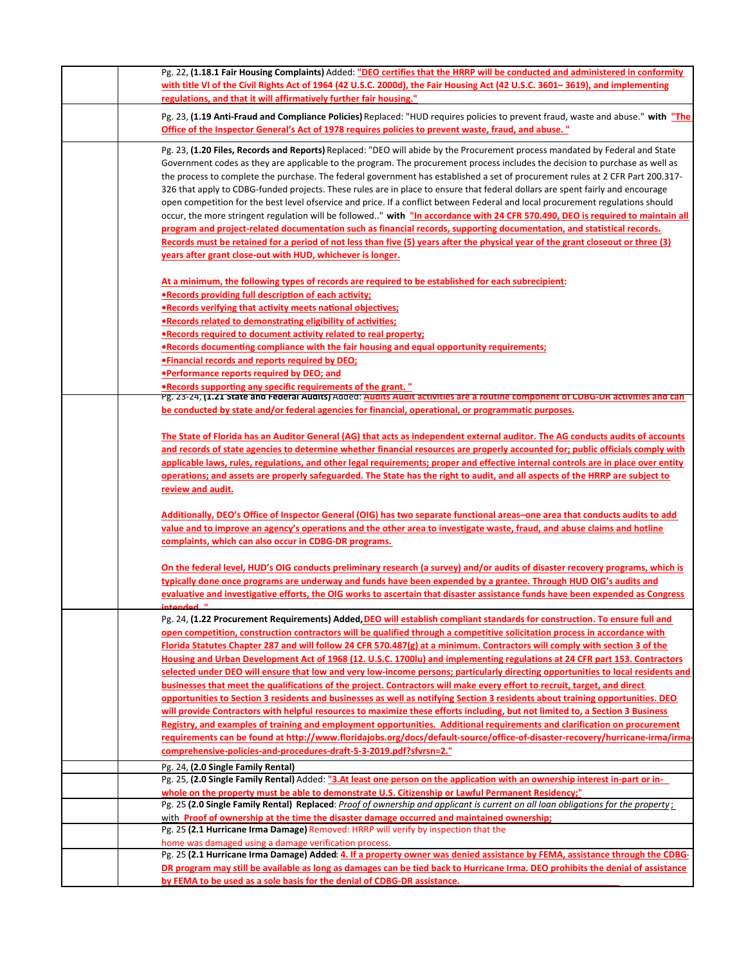| Pg. 22, (1.18.1 Fair Housing Complaints) Added: "DEO certifies that the HRRP will be conducted and administered in conformity                                                                                                                                         |
|-----------------------------------------------------------------------------------------------------------------------------------------------------------------------------------------------------------------------------------------------------------------------|
| with title VI of the Civil Rights Act of 1964 (42 U.S.C. 2000d), the Fair Housing Act (42 U.S.C. 3601-3619), and implementing<br>regulations, and that it will affirmatively further fair housing."                                                                   |
| Pg. 23, (1.19 Anti-Fraud and Compliance Policies) Replaced: "HUD requires policies to prevent fraud, waste and abuse." with "The                                                                                                                                      |
| Office of the Inspector General's Act of 1978 requires policies to prevent waste, fraud, and abuse. "                                                                                                                                                                 |
| Pg. 23, (1.20 Files, Records and Reports) Replaced: "DEO will abide by the Procurement process mandated by Federal and State                                                                                                                                          |
| Government codes as they are applicable to the program. The procurement process includes the decision to purchase as well as                                                                                                                                          |
| the process to complete the purchase. The federal government has established a set of procurement rules at 2 CFR Part 200.317-<br>326 that apply to CDBG-funded projects. These rules are in place to ensure that federal dollars are spent fairly and encourage      |
| open competition for the best level ofservice and price. If a conflict between Federal and local procurement regulations should                                                                                                                                       |
| occur, the more stringent regulation will be followed" with "In accordance with 24 CFR 570.490, DEO is required to maintain all                                                                                                                                       |
| program and project-related documentation such as financial records, supporting documentation, and statistical records.                                                                                                                                               |
| Records must be retained for a period of not less than five (5) years after the physical year of the grant closeout or three (3)                                                                                                                                      |
| years after grant close-out with HUD, whichever is longer.                                                                                                                                                                                                            |
| At a minimum, the following types of records are required to be established for each subrecipient:                                                                                                                                                                    |
| . Records providing full description of each activity;                                                                                                                                                                                                                |
| . Records verifying that activity meets national objectives;                                                                                                                                                                                                          |
| .Records related to demonstrating eligibility of activities;<br>. Records required to document activity related to real property;                                                                                                                                     |
| • Records documenting compliance with the fair housing and equal opportunity requirements;                                                                                                                                                                            |
| . Financial records and reports required by DEO;                                                                                                                                                                                                                      |
| <b>•Performance reports required by DEO; and</b>                                                                                                                                                                                                                      |
| • Records supporting any specific requirements of the grant. "<br>Pg. 23-24, (1.21 State and Federal Audits) Added: Audits Audit activities are a routine component of CDBG-DR activities and can                                                                     |
| be conducted by state and/or federal agencies for financial, operational, or programmatic purposes.                                                                                                                                                                   |
|                                                                                                                                                                                                                                                                       |
| The State of Florida has an Auditor General (AG) that acts as independent external auditor. The AG conducts audits of accounts                                                                                                                                        |
| and records of state agencies to determine whether financial resources are properly accounted for; public officials comply with<br>applicable laws, rules, regulations, and other legal requirements; proper and effective internal controls are in place over entity |
| operations; and assets are properly safeguarded. The State has the right to audit, and all aspects of the HRRP are subject to                                                                                                                                         |
| review and audit.                                                                                                                                                                                                                                                     |
| Additionally, DEO's Office of Inspector General (OIG) has two separate functional areas-one area that conducts audits to add                                                                                                                                          |
| value and to improve an agency's operations and the other area to investigate waste, fraud, and abuse claims and hotline                                                                                                                                              |
| complaints, which can also occur in CDBG-DR programs.                                                                                                                                                                                                                 |
| <u>On the federal level, HUD's OIG conducts preliminary research (a survey) and/or audits of disaster recovery programs, which is</u>                                                                                                                                 |
| typically done once programs are underway and funds have been expended by a grantee. Through HUD OIG's audits and                                                                                                                                                     |
| evaluative and investigative efforts, the OIG works to ascertain that disaster assistance funds have been expended as Congress                                                                                                                                        |
| intended "                                                                                                                                                                                                                                                            |
| Pg. 24, (1.22 Procurement Requirements) Added, DEO will establish compliant standards for construction. To ensure full and<br>open competition, construction contractors will be qualified through a competitive solicitation process in accordance with              |
| Florida Statutes Chapter 287 and will follow 24 CFR 570.487(g) at a minimum. Contractors will comply with section 3 of the                                                                                                                                            |
| Housing and Urban Development Act of 1968 (12. U.S.C. 1700lu) and implementing regulations at 24 CFR part 153. Contractors                                                                                                                                            |
| selected under DEO will ensure that low and very low-income persons; particularly directing opportunities to local residents and                                                                                                                                      |
| businesses that meet the qualifications of the project. Contractors will make every effort to recruit, target, and direct                                                                                                                                             |
| opportunities to Section 3 residents and businesses as well as notifying Section 3 residents about training opportunities. DEO<br>will provide Contractors with helpful resources to maximize these efforts including, but not limited to, a Section 3 Business       |
| Registry, and examples of training and employment opportunities. Additional requirements and clarification on procurement                                                                                                                                             |
| requirements can be found at http://www.floridajobs.org/docs/default-source/office-of-disaster-recovery/hurricane-irma/irma-                                                                                                                                          |
| comprehensive-policies-and-procedures-draft-5-3-2019.pdf?sfvrsn=2."                                                                                                                                                                                                   |
| Pg. 24, (2.0 Single Family Rental)                                                                                                                                                                                                                                    |
| Pg. 25, (2.0 Single Family Rental) Added: "3.At least one person on the application with an ownership interest in-part or in-                                                                                                                                         |
| whole on the property must be able to demonstrate U.S. Citizenship or Lawful Permanent Residency;"<br>Pg. 25 (2.0 Single Family Rental) Replaced: Proof of ownership and applicant is current on all loan obligations for the property;                               |
| with Proof of ownership at the time the disaster damage occurred and maintained ownership;                                                                                                                                                                            |
| Pg. 25 (2.1 Hurricane Irma Damage) Removed: HRRP will verify by inspection that the                                                                                                                                                                                   |
| home was damaged using a damage verification process.                                                                                                                                                                                                                 |
| Pg. 25 (2.1 Hurricane Irma Damage) Added: 4. If a property owner was denied assistance by FEMA, assistance through the CDBG-<br>DR program may still be available as long as damages can be tied back to Hurricane Irma. DEO prohibits the denial of assistance       |
| by FEMA to be used as a sole basis for the denial of CDBG-DR assistance.                                                                                                                                                                                              |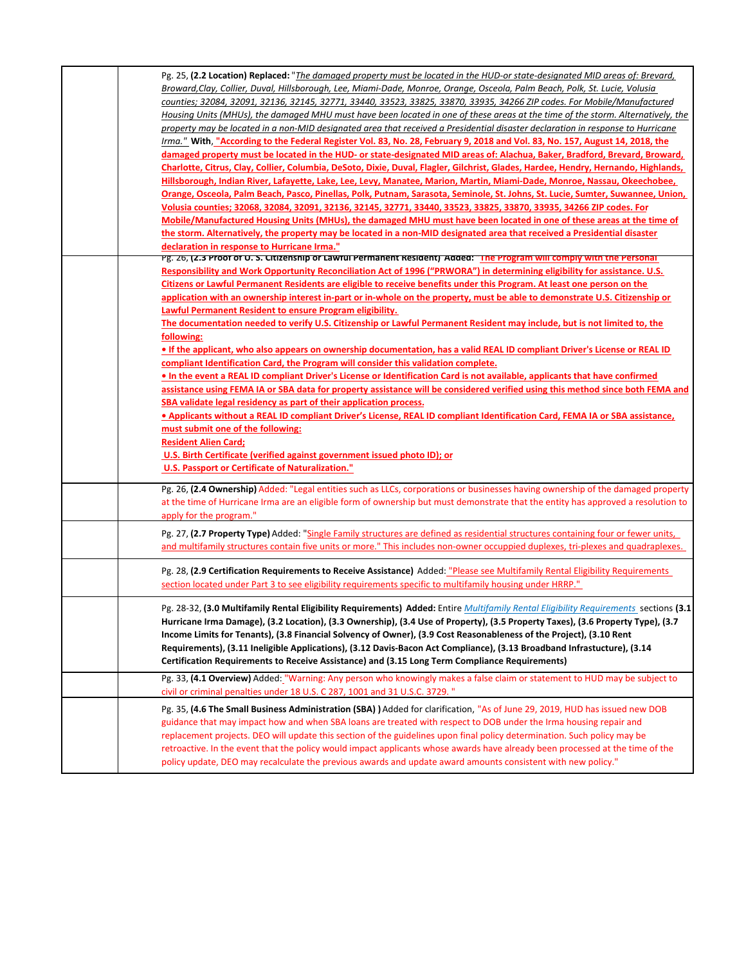| Pg. 25, (2.2 Location) Replaced: "The damaged property must be located in the HUD-or state-designated MID areas of: Brevard,<br>Broward, Clay, Collier, Duval, Hillsborough, Lee, Miami-Dade, Monroe, Orange, Osceola, Palm Beach, Polk, St. Lucie, Volusia<br>counties; 32084, 32091, 32136, 32145, 32771, 33440, 33523, 33825, 33870, 33935, 34266 ZIP codes. For Mobile/Manufactured<br>Housing Units (MHUs), the damaged MHU must have been located in one of these areas at the time of the storm. Alternatively, the<br>property may be located in a non-MID designated area that received a Presidential disaster declaration in response to Hurricane<br>Irma." With, "According to the Federal Register Vol. 83, No. 28, February 9, 2018 and Vol. 83, No. 157, August 14, 2018, the<br>damaged property must be located in the HUD- or state-designated MID areas of: Alachua, Baker, Bradford, Brevard, Broward,<br>Charlotte, Citrus, Clay, Collier, Columbia, DeSoto, Dixie, Duval, Flagler, Gilchrist, Glades, Hardee, Hendry, Hernando, Highlands,<br>Hillsborough, Indian River, Lafayette, Lake, Lee, Levy, Manatee, Marion, Martin, Miami-Dade, Monroe, Nassau, Okeechobee,<br>Orange, Osceola, Palm Beach, Pasco, Pinellas, Polk, Putnam, Sarasota, Seminole, St. Johns, St. Lucie, Sumter, Suwannee, Union,<br>Volusia counties; 32068, 32084, 32091, 32136, 32145, 32771, 33440, 33523, 33825, 33870, 33935, 34266 ZIP codes. For<br>Mobile/Manufactured Housing Units (MHUs), the damaged MHU must have been located in one of these areas at the time of                                                  |
|----------------------------------------------------------------------------------------------------------------------------------------------------------------------------------------------------------------------------------------------------------------------------------------------------------------------------------------------------------------------------------------------------------------------------------------------------------------------------------------------------------------------------------------------------------------------------------------------------------------------------------------------------------------------------------------------------------------------------------------------------------------------------------------------------------------------------------------------------------------------------------------------------------------------------------------------------------------------------------------------------------------------------------------------------------------------------------------------------------------------------------------------------------------------------------------------------------------------------------------------------------------------------------------------------------------------------------------------------------------------------------------------------------------------------------------------------------------------------------------------------------------------------------------------------------------------------------------------------------------------------------|
| the storm. Alternatively, the property may be located in a non-MID designated area that received a Presidential disaster<br>declaration in response to Hurricane Irma."                                                                                                                                                                                                                                                                                                                                                                                                                                                                                                                                                                                                                                                                                                                                                                                                                                                                                                                                                                                                                                                                                                                                                                                                                                                                                                                                                                                                                                                          |
| Pg. 26, (2.3 Proof of U. S. Citizenship or Lawful Permanent Resident) Added: "The Program Will comply With the Personal<br>Responsibility and Work Opportunity Reconciliation Act of 1996 ("PRWORA") in determining eligibility for assistance. U.S.<br>Citizens or Lawful Permanent Residents are eligible to receive benefits under this Program. At least one person on the<br>application with an ownership interest in-part or in-whole on the property, must be able to demonstrate U.S. Citizenship or<br>Lawful Permanent Resident to ensure Program eligibility.<br>The documentation needed to verify U.S. Citizenship or Lawful Permanent Resident may include, but is not limited to, the<br>following:<br>• If the applicant, who also appears on ownership documentation, has a valid REAL ID compliant Driver's License or REAL ID<br>compliant Identification Card, the Program will consider this validation complete.<br>• In the event a REAL ID compliant Driver's License or Identification Card is not available, applicants that have confirmed<br>assistance using FEMA IA or SBA data for property assistance will be considered verified using this method since both FEMA and<br>SBA validate legal residency as part of their application process.<br><b>• Applicants without a REAL ID compliant Driver's License, REAL ID compliant Identification Card, FEMA IA or SBA assistance,</b><br>must submit one of the following:<br><b>Resident Alien Card;</b><br>U.S. Birth Certificate (verified against government issued photo ID); or<br><b>U.S. Passport or Certificate of Naturalization."</b> |
| Pg. 26, (2.4 Ownership) Added: "Legal entities such as LLCs, corporations or businesses having ownership of the damaged property<br>at the time of Hurricane Irma are an eligible form of ownership but must demonstrate that the entity has approved a resolution to<br>apply for the program."                                                                                                                                                                                                                                                                                                                                                                                                                                                                                                                                                                                                                                                                                                                                                                                                                                                                                                                                                                                                                                                                                                                                                                                                                                                                                                                                 |
| Pg. 27, (2.7 Property Type) Added: "Single Family structures are defined as residential structures containing four or fewer units,<br>and multifamily structures contain five units or more." This includes non-owner occuppied duplexes, tri-plexes and quadraplexes.                                                                                                                                                                                                                                                                                                                                                                                                                                                                                                                                                                                                                                                                                                                                                                                                                                                                                                                                                                                                                                                                                                                                                                                                                                                                                                                                                           |
| Pg. 28, (2.9 Certification Requirements to Receive Assistance) Added: "Please see Multifamily Rental Eligibility Requirements<br>section located under Part 3 to see eligibility requirements specific to multifamily housing under HRRP."                                                                                                                                                                                                                                                                                                                                                                                                                                                                                                                                                                                                                                                                                                                                                                                                                                                                                                                                                                                                                                                                                                                                                                                                                                                                                                                                                                                       |
| Pg. 28-32, (3.0 Multifamily Rental Eligibility Requirements) Added: Entire Multifamily Rental Eligibility Requirements sections (3.1<br>Hurricane Irma Damage), (3.2 Location), (3.3 Ownership), (3.4 Use of Property), (3.5 Property Taxes), (3.6 Property Type), (3.7<br>Income Limits for Tenants), (3.8 Financial Solvency of Owner), (3.9 Cost Reasonableness of the Project), (3.10 Rent<br>Requirements), (3.11 Ineligible Applications), (3.12 Davis-Bacon Act Compliance), (3.13 Broadband Infrastucture), (3.14<br>Certification Requirements to Receive Assistance) and (3.15 Long Term Compliance Requirements)                                                                                                                                                                                                                                                                                                                                                                                                                                                                                                                                                                                                                                                                                                                                                                                                                                                                                                                                                                                                      |
| Pg. 33, (4.1 Overview) Added: "Warning: Any person who knowingly makes a false claim or statement to HUD may be subject to<br>civil or criminal penalties under 18 U.S. C 287, 1001 and 31 U.S.C. 3729."                                                                                                                                                                                                                                                                                                                                                                                                                                                                                                                                                                                                                                                                                                                                                                                                                                                                                                                                                                                                                                                                                                                                                                                                                                                                                                                                                                                                                         |
| Pg. 35, (4.6 The Small Business Administration (SBA) ) Added for clarification, "As of June 29, 2019, HUD has issued new DOB<br>guidance that may impact how and when SBA loans are treated with respect to DOB under the Irma housing repair and<br>replacement projects. DEO will update this section of the guidelines upon final policy determination. Such policy may be<br>retroactive. In the event that the policy would impact applicants whose awards have already been processed at the time of the<br>policy update, DEO may recalculate the previous awards and update award amounts consistent with new policy."                                                                                                                                                                                                                                                                                                                                                                                                                                                                                                                                                                                                                                                                                                                                                                                                                                                                                                                                                                                                   |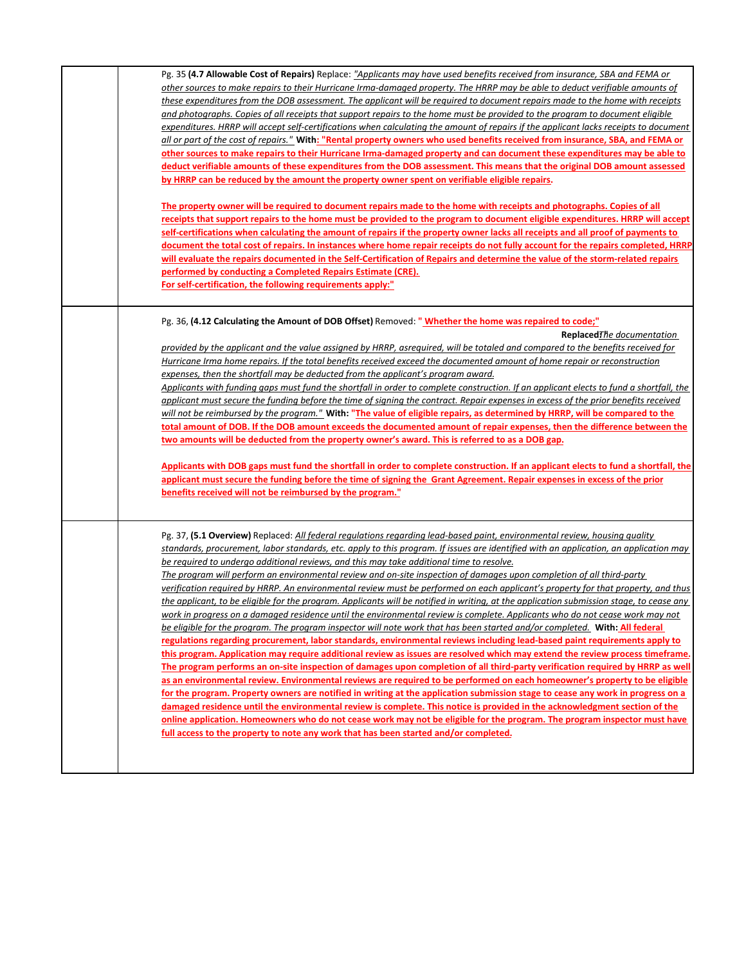| Pg. 35 (4.7 Allowable Cost of Repairs) Replace: "Applicants may have used benefits received from insurance, SBA and FEMA or              |
|------------------------------------------------------------------------------------------------------------------------------------------|
| other sources to make repairs to their Hurricane Irma-damaged property. The HRRP may be able to deduct verifiable amounts of             |
| these expenditures from the DOB assessment. The applicant will be required to document repairs made to the home with receipts            |
| and photographs. Copies of all receipts that support repairs to the home must be provided to the program to document eligible            |
| expenditures. HRRP will accept self-certifications when calculating the amount of repairs if the applicant lacks receipts to document    |
| all or part of the cost of repairs." With: "Rental property owners who used benefits received from insurance, SBA, and FEMA or           |
| other sources to make repairs to their Hurricane Irma-damaged property and can document these expenditures may be able to                |
| deduct verifiable amounts of these expenditures from the DOB assessment. This means that the original DOB amount assessed                |
| by HRRP can be reduced by the amount the property owner spent on verifiable eligible repairs.                                            |
|                                                                                                                                          |
| The property owner will be required to document repairs made to the home with receipts and photographs. Copies of all                    |
| receipts that support repairs to the home must be provided to the program to document eligible expenditures. HRRP will accept            |
| self-certifications when calculating the amount of repairs if the property owner lacks all receipts and all proof of payments to         |
| document the total cost of repairs. In instances where home repair receipts do not fully account for the repairs completed, HRRP         |
| will evaluate the repairs documented in the Self-Certification of Repairs and determine the value of the storm-related repairs           |
| performed by conducting a Completed Repairs Estimate (CRE).                                                                              |
| For self-certification, the following requirements apply:"                                                                               |
|                                                                                                                                          |
|                                                                                                                                          |
| Pg. 36, (4.12 Calculating the Amount of DOB Offset) Removed: "Whether the home was repaired to code;"                                    |
| ReplacedThe documentation                                                                                                                |
| provided by the applicant and the value assigned by HRRP, asreguired, will be totaled and compared to the benefits received for          |
| Hurricane Irma home repairs. If the total benefits received exceed the documented amount of home repair or reconstruction                |
| expenses, then the shortfall may be deducted from the applicant's program award.                                                         |
| Applicants with funding gaps must fund the shortfall in order to complete construction. If an applicant elects to fund a shortfall, the  |
| applicant must secure the funding before the time of signing the contract. Repair expenses in excess of the prior benefits received      |
| will not be reimbursed by the program." With: "The value of eligible repairs, as determined by HRRP, will be compared to the             |
| total amount of DOB. If the DOB amount exceeds the documented amount of repair expenses, then the difference between the                 |
| two amounts will be deducted from the property owner's award. This is referred to as a DOB gap.                                          |
|                                                                                                                                          |
| Applicants with DOB gaps must fund the shortfall in order to complete construction. If an applicant elects to fund a shortfall, the      |
| applicant must secure the funding before the time of signing the Grant Agreement. Repair expenses in excess of the prior                 |
| benefits received will not be reimbursed by the program."                                                                                |
|                                                                                                                                          |
| Pg. 37, (5.1 Overview) Replaced: All federal regulations regarding lead-based paint, environmental review, housing quality               |
| standards, procurement, labor standards, etc. apply to this program. If issues are identified with an application, an application may    |
| be required to undergo additional reviews, and this may take additional time to resolve.                                                 |
| The program will perform an environmental review and on-site inspection of damages upon completion of all third-party                    |
| verification required by HRRP. An environmental review must be performed on each applicant's property for that property, and thus        |
| the applicant, to be eligible for the program. Applicants will be notified in writing, at the application submission stage, to cease any |
| work in progress on a damaged residence until the environmental review is complete. Applicants who do not cease work may not             |
| be eligible for the program. The program inspector will note work that has been started and/or completed. With: All federal              |
| regulations regarding procurement, labor standards, environmental reviews including lead-based paint requirements apply to               |
| this program. Application may require additional review as issues are resolved which may extend the review process timeframe.            |
| The program performs an on-site inspection of damages upon completion of all third-party verification required by HRRP as well           |
| as an environmental review. Environmental reviews are required to be performed on each homeowner's property to be eligible               |
| for the program. Property owners are notified in writing at the application submission stage to cease any work in progress on a          |
| <u>damaged residence until the environmental review is complete. This notice is provided in the acknowledgment section of the</u>        |
| online application. Homeowners who do not cease work may not be eligible for the program. The program inspector must have                |
| full access to the property to note any work that has been started and/or completed.                                                     |
|                                                                                                                                          |
|                                                                                                                                          |
|                                                                                                                                          |
|                                                                                                                                          |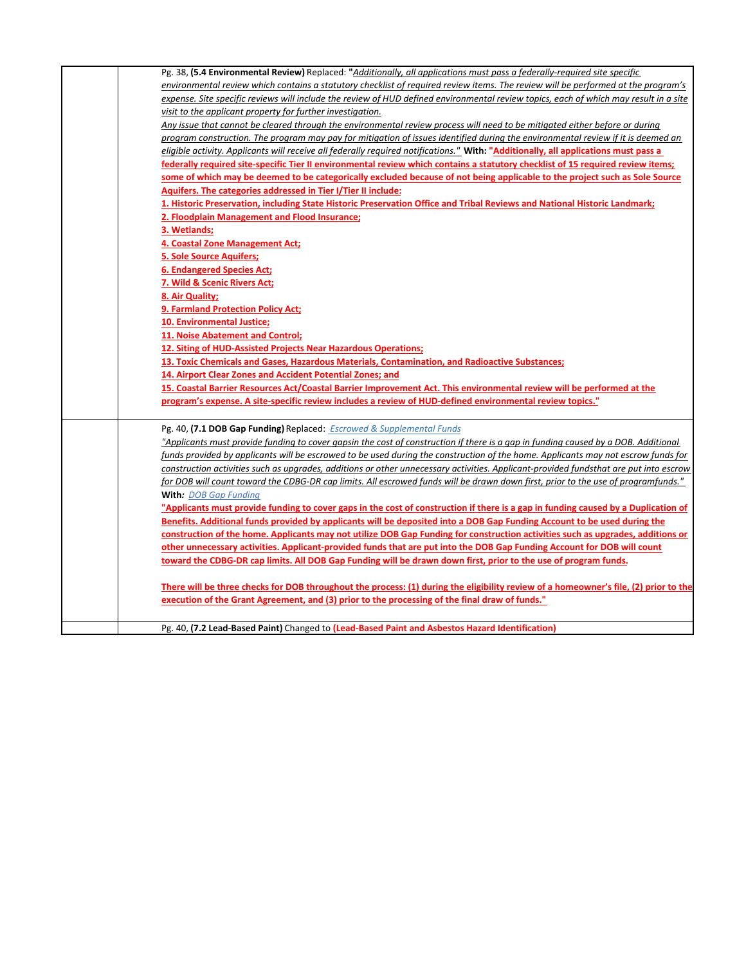| Pg. 38, (5.4 Environmental Review) Replaced: "Additionally, all applications must pass a federally-required site specific             |
|---------------------------------------------------------------------------------------------------------------------------------------|
| environmental review which contains a statutory checklist of required review items. The review will be performed at the program's     |
| expense. Site specific reviews will include the review of HUD defined environmental review topics, each of which may result in a site |
| visit to the applicant property for further investigation.                                                                            |
| Any issue that cannot be cleared through the environmental review process will need to be mitigated either before or during           |
| program construction. The program may pay for mitigation of issues identified during the environmental review if it is deemed an      |
| eligible activity. Applicants will receive all federally required notifications." With: "Additionally, all applications must pass a   |
| federally required site-specific Tier II environmental review which contains a statutory checklist of 15 required review items;       |
| some of which may be deemed to be categorically excluded because of not being applicable to the project such as Sole Source           |
| Aquifers. The categories addressed in Tier I/Tier II include:                                                                         |
| 1. Historic Preservation, including State Historic Preservation Office and Tribal Reviews and National Historic Landmark;             |
| 2. Floodplain Management and Flood Insurance;                                                                                         |
| 3. Wetlands;                                                                                                                          |
| 4. Coastal Zone Management Act;                                                                                                       |
| <b>5. Sole Source Aquifers;</b>                                                                                                       |
| <b>6. Endangered Species Act;</b>                                                                                                     |
| 7. Wild & Scenic Rivers Act;                                                                                                          |
| 8. Air Quality;                                                                                                                       |
| 9. Farmland Protection Policy Act;                                                                                                    |
| 10. Environmental Justice;                                                                                                            |
| <b>11. Noise Abatement and Control;</b>                                                                                               |
| 12. Siting of HUD-Assisted Projects Near Hazardous Operations;                                                                        |
| 13. Toxic Chemicals and Gases, Hazardous Materials, Contamination, and Radioactive Substances;                                        |
| 14. Airport Clear Zones and Accident Potential Zones; and                                                                             |
| 15. Coastal Barrier Resources Act/Coastal Barrier Improvement Act. This environmental review will be performed at the                 |
| "program's expense. A site-specific review includes a review of HUD-defined environmental review topics."                             |
|                                                                                                                                       |
| Pg. 40, (7.1 DOB Gap Funding) Replaced: <b>Escrowed &amp; Supplemental Funds</b>                                                      |
| "Applicants must provide funding to cover gapsin the cost of construction if there is a gap in funding caused by a DOB. Additional    |
| funds provided by applicants will be escrowed to be used during the construction of the home. Applicants may not escrow funds for     |
| construction activities such as upgrades, additions or other unnecessary activities. Applicant-provided fundsthat are put into escrow |
| for DOB will count toward the CDBG-DR cap limits. All escrowed funds will be drawn down first, prior to the use of programfunds."     |
| With: DOB Gap Funding                                                                                                                 |
| "Applicants must provide funding to cover gaps in the cost of construction if there is a gap in funding caused by a Duplication of    |
| Benefits. Additional funds provided by applicants will be deposited into a DOB Gap Funding Account to be used during the              |
| construction of the home. Applicants may not utilize DOB Gap Funding for construction activities such as upgrades, additions or       |
| other unnecessary activities. Applicant-provided funds that are put into the DOB Gap Funding Account for DOB will count               |
| toward the CDBG-DR cap limits. All DOB Gap Funding will be drawn down first, prior to the use of program funds.                       |
|                                                                                                                                       |
| There will be three checks for DOB throughout the process: (1) during the eligibility review of a homeowner's file, (2) prior to the  |
| execution of the Grant Agreement, and (3) prior to the processing of the final draw of funds."                                        |
|                                                                                                                                       |
| Pg. 40, (7.2 Lead-Based Paint) Changed to (Lead-Based Paint and Asbestos Hazard Identification)                                       |
|                                                                                                                                       |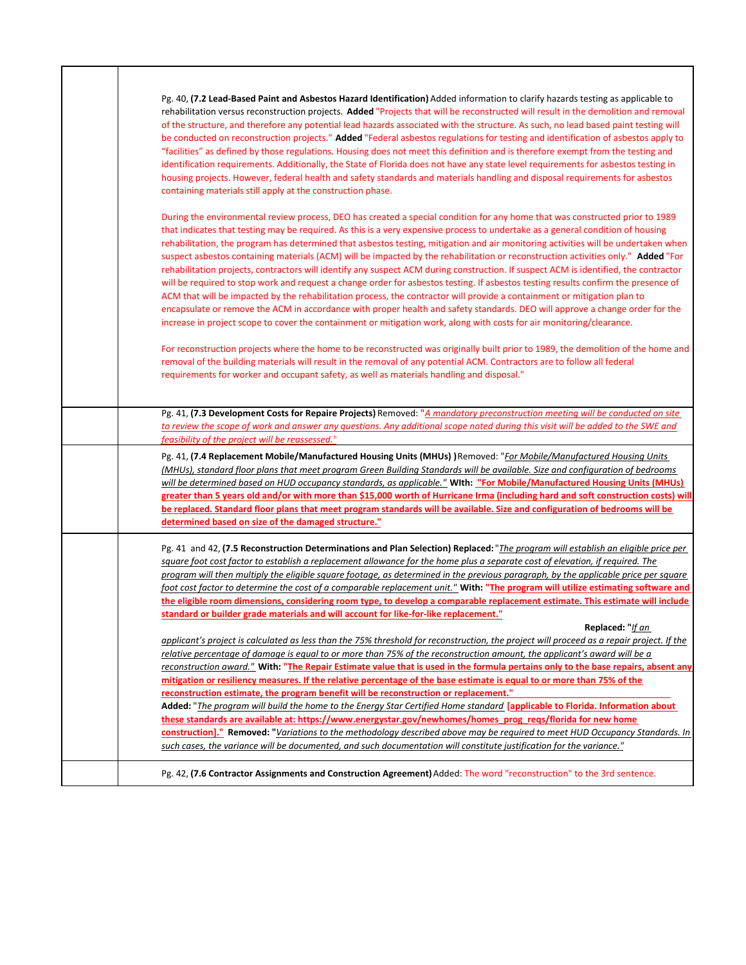| Pg. 40, (7.2 Lead-Based Paint and Asbestos Hazard Identification) Added information to clarify hazards testing as applicable to<br>rehabilitation versus reconstruction projects. Added "Projects that will be reconstructed will result in the demolition and removal<br>of the structure, and therefore any potential lead hazards associated with the structure. As such, no lead based paint testing will<br>be conducted on reconstruction projects." Added "Federal asbestos regulations for testing and identification of asbestos apply to<br>"facilities" as defined by those regulations. Housing does not meet this definition and is therefore exempt from the testing and<br>identification requirements. Additionally, the State of Florida does not have any state level requirements for asbestos testing in<br>housing projects. However, federal health and safety standards and materials handling and disposal requirements for asbestos<br>containing materials still apply at the construction phase.                                                                                                                                                                                                                                                                                                                        |
|----------------------------------------------------------------------------------------------------------------------------------------------------------------------------------------------------------------------------------------------------------------------------------------------------------------------------------------------------------------------------------------------------------------------------------------------------------------------------------------------------------------------------------------------------------------------------------------------------------------------------------------------------------------------------------------------------------------------------------------------------------------------------------------------------------------------------------------------------------------------------------------------------------------------------------------------------------------------------------------------------------------------------------------------------------------------------------------------------------------------------------------------------------------------------------------------------------------------------------------------------------------------------------------------------------------------------------------------------|
| During the environmental review process, DEO has created a special condition for any home that was constructed prior to 1989<br>that indicates that testing may be required. As this is a very expensive process to undertake as a general condition of housing<br>rehabilitation, the program has determined that asbestos testing, mitigation and air monitoring activities will be undertaken when<br>suspect asbestos containing materials (ACM) will be impacted by the rehabilitation or reconstruction activities only." Added "For<br>rehabilitation projects, contractors will identify any suspect ACM during construction. If suspect ACM is identified, the contractor<br>will be required to stop work and request a change order for asbestos testing. If asbestos testing results confirm the presence of<br>ACM that will be impacted by the rehabilitation process, the contractor will provide a containment or mitigation plan to<br>encapsulate or remove the ACM in accordance with proper health and safety standards. DEO will approve a change order for the<br>increase in project scope to cover the containment or mitigation work, along with costs for air monitoring/clearance.<br>For reconstruction projects where the home to be reconstructed was originally built prior to 1989, the demolition of the home and |
| removal of the building materials will result in the removal of any potential ACM. Contractors are to follow all federal<br>requirements for worker and occupant safety, as well as materials handling and disposal."<br>Pg. 41, (7.3 Development Costs for Repaire Projects) Removed: "A mandatory preconstruction meeting will be conducted on site                                                                                                                                                                                                                                                                                                                                                                                                                                                                                                                                                                                                                                                                                                                                                                                                                                                                                                                                                                                              |
| to review the scope of work and answer any questions. Any additional scope noted during this visit will be added to the SWE and<br>feasibility of the project will be reassessed."                                                                                                                                                                                                                                                                                                                                                                                                                                                                                                                                                                                                                                                                                                                                                                                                                                                                                                                                                                                                                                                                                                                                                                 |
| Pg. 41, (7.4 Replacement Mobile/Manufactured Housing Units (MHUs))Removed: "For Mobile/Manufactured Housing Units<br>(MHUs), standard floor plans that meet program Green Building Standards will be available. Size and configuration of bedrooms<br>will be determined based on HUD occupancy standards, as applicable." With: "For Mobile/Manufactured Housing Units (MHUs)<br>greater than 5 years old and/or with more than \$15,000 worth of Hurricane Irma (including hard and soft construction costs) will<br>be replaced. Standard floor plans that meet program standards will be available. Size and configuration of bedrooms will be<br>determined based on size of the damaged structure."                                                                                                                                                                                                                                                                                                                                                                                                                                                                                                                                                                                                                                          |
| Pg. 41 and 42, (7.5 Reconstruction Determinations and Plan Selection) Replaced: "The program will establish an eligible price per<br>square foot cost factor to establish a replacement allowance for the home plus a separate cost of elevation, if required. The<br>program will then multiply the eligible square footage, as determined in the previous paragraph, by the applicable price per square<br>foot cost factor to determine the cost of a comparable replacement unit." With: "The program will utilize estimating software and<br>the eligible room dimensions, considering room type, to develop a comparable replacement estimate. This estimate will include<br>standard or builder grade materials and will account for like-for-like replacement."                                                                                                                                                                                                                                                                                                                                                                                                                                                                                                                                                                            |
| Replaced: "If an<br>applicant's project is calculated as less than the 75% threshold for reconstruction, the project will proceed as a repair project. If the<br>relative percentage of damage is equal to or more than 75% of the reconstruction amount, the applicant's award will be a<br>reconstruction award." With: "The Repair Estimate value that is used in the formula pertains only to the base repairs, absent any<br>mitigation or resiliency measures. If the relative percentage of the base estimate is equal to or more than 75% of the<br>reconstruction estimate, the program benefit will be reconstruction or replacement."                                                                                                                                                                                                                                                                                                                                                                                                                                                                                                                                                                                                                                                                                                   |
| Added: "The program will build the home to the Energy Star Certified Home standard [applicable to Florida. Information about<br>these standards are available at: https://www.energystar.gov/newhomes/homes prog regs/florida for new home<br>construction]." Removed: "Variations to the methodology described above may be required to meet HUD Occupancy Standards. In<br>such cases, the variance will be documented, and such documentation will constitute justification for the variance."                                                                                                                                                                                                                                                                                                                                                                                                                                                                                                                                                                                                                                                                                                                                                                                                                                                  |
| Pg. 42, (7.6 Contractor Assignments and Construction Agreement) Added: The word "reconstruction" to the 3rd sentence.                                                                                                                                                                                                                                                                                                                                                                                                                                                                                                                                                                                                                                                                                                                                                                                                                                                                                                                                                                                                                                                                                                                                                                                                                              |

Г

T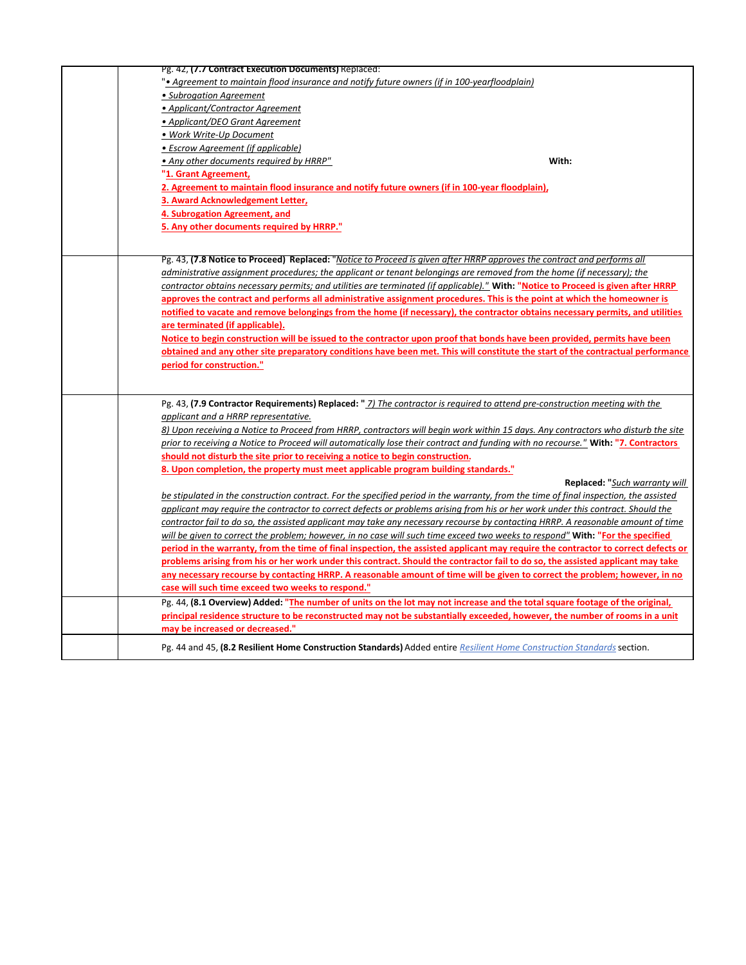| Pg. 42, (7.7 Contract Execution Documents) Replaced:                                                                                  |
|---------------------------------------------------------------------------------------------------------------------------------------|
| • Agreement to maintain flood insurance and notify future owners (if in 100-yearfloodplain)                                           |
| • Subrogation Agreement                                                                                                               |
| • Applicant/Contractor Agreement                                                                                                      |
| • Applicant/DEO Grant Agreement                                                                                                       |
| • Work Write-Up Document                                                                                                              |
| • Escrow Agreement (if applicable)                                                                                                    |
| With:<br>• Any other documents required by HRRP"                                                                                      |
| "1. Grant Agreement,                                                                                                                  |
| 2. Agreement to maintain flood insurance and notify future owners (if in 100-year floodplain),                                        |
| 3. Award Acknowledgement Letter,                                                                                                      |
| 4. Subrogation Agreement, and                                                                                                         |
| 5. Any other documents required by HRRP."                                                                                             |
|                                                                                                                                       |
|                                                                                                                                       |
| Pg. 43, (7.8 Notice to Proceed) Replaced: "Notice to Proceed is given after HRRP approves the contract and performs all               |
| administrative assignment procedures; the applicant or tenant belongings are removed from the home (if necessary); the                |
| contractor obtains necessary permits; and utilities are terminated (if applicable)." With: "Notice to Proceed is given after HRRP     |
| approves the contract and performs all administrative assignment procedures. This is the point at which the homeowner is              |
| notified to vacate and remove belongings from the home (if necessary), the contractor obtains necessary permits, and utilities        |
| are terminated (if applicable).                                                                                                       |
| Notice to begin construction will be issued to the contractor upon proof that bonds have been provided, permits have been             |
| obtained and any other site preparatory conditions have been met. This will constitute the start of the contractual performance       |
| period for construction."                                                                                                             |
|                                                                                                                                       |
| Pg. 43, (7.9 Contractor Requirements) Replaced: " 7) The contractor is required to attend pre-construction meeting with the           |
| applicant and a HRRP representative.                                                                                                  |
| 8) Upon receiving a Notice to Proceed from HRRP, contractors will begin work within 15 days. Any contractors who disturb the site     |
| prior to receiving a Notice to Proceed will automatically lose their contract and funding with no recourse." With: "7. Contractors    |
| should not disturb the site prior to receiving a notice to begin construction.                                                        |
| 8. Upon completion, the property must meet applicable program building standards."                                                    |
| Replaced: "Such warranty will                                                                                                         |
| be stipulated in the construction contract. For the specified period in the warranty, from the time of final inspection, the assisted |
| applicant may require the contractor to correct defects or problems arising from his or her work under this contract. Should the      |
| contractor fail to do so, the assisted applicant may take any necessary recourse by contacting HRRP. A reasonable amount of time      |
| will be given to correct the problem; however, in no case will such time exceed two weeks to respond" With: "For the specified        |
| period in the warranty, from the time of final inspection, the assisted applicant may require the contractor to correct defects or    |
| problems arising from his or her work under this contract. Should the contractor fail to do so, the assisted applicant may take       |
| any necessary recourse by contacting HRRP. A reasonable amount of time will be given to correct the problem; however, in no           |
| case will such time exceed two weeks to respond."                                                                                     |
| Pg. 44, (8.1 Overview) Added: "The number of units on the lot may not increase and the total square footage of the original,          |
| principal residence structure to be reconstructed may not be substantially exceeded, however, the number of rooms in a unit           |
| may be increased or decreased."                                                                                                       |
|                                                                                                                                       |
| Pg. 44 and 45, (8.2 Resilient Home Construction Standards) Added entire Resilient Home Construction Standards section.                |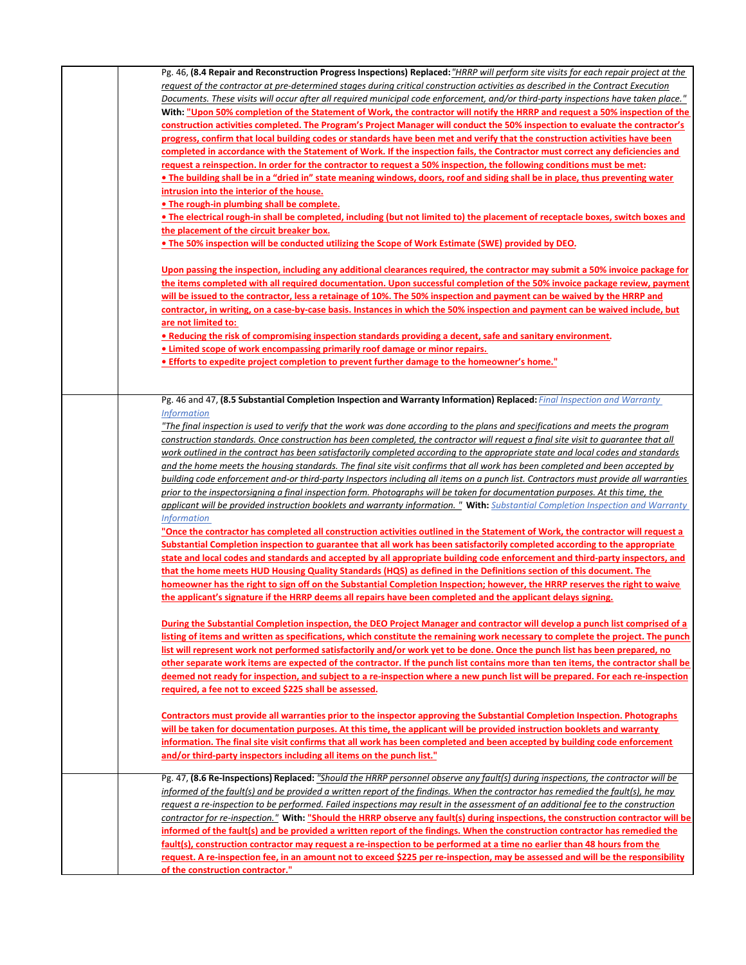| Pg. 46, (8.4 Repair and Reconstruction Progress Inspections) Replaced: "HRRP will perform site visits for each repair project at the     |
|------------------------------------------------------------------------------------------------------------------------------------------|
| request of the contractor at pre-determined stages during critical construction activities as described in the Contract Execution        |
| Documents. These visits will occur after all required municipal code enforcement, and/or third-party inspections have taken place."      |
| With: "Upon 50% completion of the Statement of Work, the contractor will notify the HRRP and request a 50% inspection of the             |
| construction activities completed. The Program's Project Manager will conduct the 50% inspection to evaluate the contractor's            |
| progress, confirm that local building codes or standards have been met and verify that the construction activities have been             |
| completed in accordance with the Statement of Work. If the inspection fails, the Contractor must correct any deficiencies and            |
| request a reinspection. In order for the contractor to request a 50% inspection, the following conditions must be met:                   |
| • The building shall be in a "dried in" state meaning windows, doors, roof and siding shall be in place, thus preventing water           |
| <u>intrusion into the interior of the house.</u>                                                                                         |
| • The rough-in plumbing shall be complete.                                                                                               |
| • The electrical rough-in shall be completed, including (but not limited to) the placement of receptacle boxes, switch boxes and         |
| the placement of the circuit breaker box.                                                                                                |
| • The 50% inspection will be conducted utilizing the Scope of Work Estimate (SWE) provided by DEO.                                       |
|                                                                                                                                          |
| Upon passing the inspection, including any additional clearances required, the contractor may submit a 50% invoice package for           |
| the items completed with all required documentation. Upon successful completion of the 50% invoice package review, payment               |
| will be issued to the contractor, less a retainage of 10%. The 50% inspection and payment can be waived by the HRRP and                  |
| contractor, in writing, on a case-by-case basis. Instances in which the 50% inspection and payment can be waived include, but            |
| <u>are not limited to:</u>                                                                                                               |
| • Reducing the risk of compromising inspection standards providing a decent, safe and sanitary environment.                              |
| • Limited scope of work encompassing primarily roof damage or minor repairs.                                                             |
| • Efforts to expedite project completion to prevent further damage to the homeowner's home."                                             |
|                                                                                                                                          |
|                                                                                                                                          |
| Pg. 46 and 47, (8.5 Substantial Completion Inspection and Warranty Information) Replaced: Final Inspection and Warranty                  |
| <i>Information</i>                                                                                                                       |
| "The final inspection is used to verify that the work was done according to the plans and specifications and meets the program           |
| construction standards. Once construction has been completed, the contractor will request a final site visit to quarantee that all       |
| work outlined in the contract has been satisfactorily completed according to the appropriate state and local codes and standards         |
| and the home meets the housing standards. The final site visit confirms that all work has been completed and been accepted by            |
| building code enforcement and-or third-party Inspectors including all items on a punch list. Contractors must provide all warranties     |
| prior to the inspectorsigning a final inspection form. Photographs will be taken for documentation purposes. At this time, the           |
| applicant will be provided instruction booklets and warranty information." With: Substantial Completion Inspection and Warranty          |
| <i>Information</i>                                                                                                                       |
| "Once the contractor has completed all construction activities outlined in the Statement of Work, the contractor will request a          |
| Substantial Completion inspection to guarantee that all work has been satisfactorily completed according to the appropriate              |
| state and local codes and standards and accepted by all appropriate building code enforcement and third-party inspectors, and            |
| that the home meets HUD Housing Quality Standards (HQS) as defined in the Definitions section of this document. The                      |
| homeowner has the right to sign off on the Substantial Completion Inspection; however, the HRRP reserves the right to waive              |
| the applicant's signature if the HRRP deems all repairs have been completed and the applicant delays signing.                            |
|                                                                                                                                          |
| During the Substantial Completion inspection, the DEO Project Manager and contractor will develop a punch list comprised of a            |
| listing of items and written as specifications, which constitute the remaining work necessary to complete the project. The punch         |
| list will represent work not performed satisfactorily and/or work yet to be done. Once the punch list has been prepared, no              |
| other separate work items are expected of the contractor. If the punch list contains more than ten items, the contractor shall be        |
| deemed not ready for inspection, and subject to a re-inspection where a new punch list will be prepared. For each re-inspection          |
| required, a fee not to exceed \$225 shall be assessed.                                                                                   |
|                                                                                                                                          |
| Contractors must provide all warranties prior to the inspector approving the Substantial Completion Inspection. Photographs              |
| will be taken for documentation purposes. At this time, the applicant will be provided instruction booklets and warranty                 |
| information. The final site visit confirms that all work has been completed and been accepted by building code enforcement               |
| and/or third-party inspectors including all items on the punch list."                                                                    |
|                                                                                                                                          |
| Pg. 47, (8.6 Re-Inspections) Replaced: "Should the HRRP personnel observe any fault(s) during inspections, the contractor will be        |
| informed of the fault(s) and be provided a written report of the findings. When the contractor has remedied the fault(s), he may         |
| <u>request a re-inspection to be performed. Failed inspections may result in the assessment of an additional fee to the construction</u> |
| contractor for re-inspection." With: "Should the HRRP observe any fault(s) during inspections, the construction contractor will be       |
| informed of the fault(s) and be provided a written report of the findings. When the construction contractor has remedied the             |
| fault(s), construction contractor may request a re-inspection to be performed at a time no earlier than 48 hours from the                |
| request. A re-inspection fee, in an amount not to exceed \$225 per re-inspection, may be assessed and will be the responsibility         |
| of the construction contractor."                                                                                                         |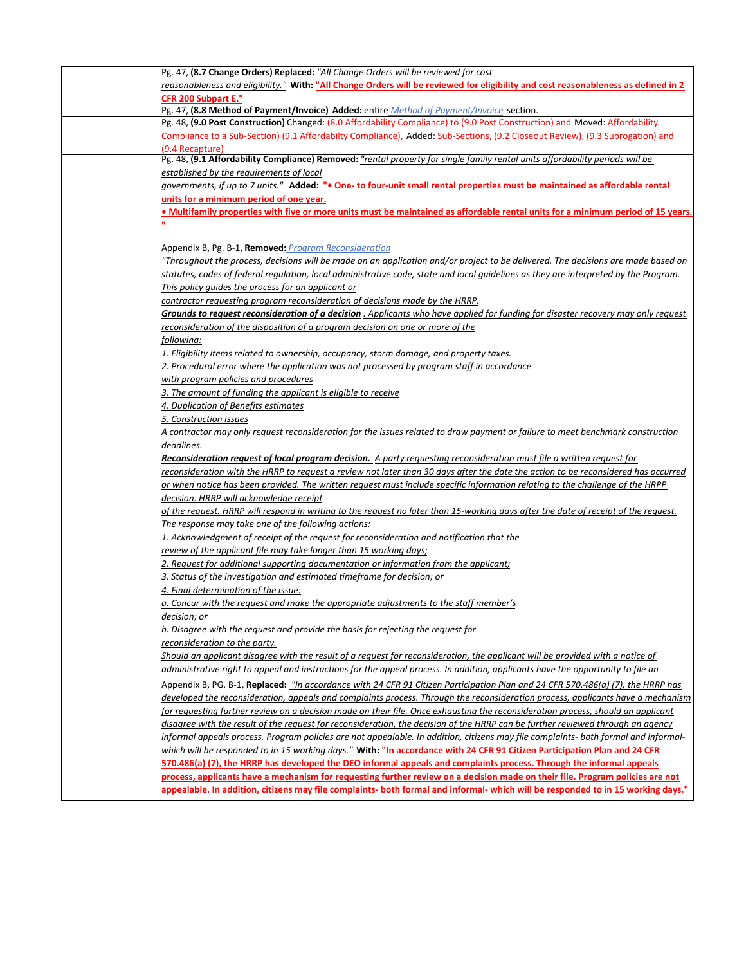| Pg. 47, (8.7 Change Orders) Replaced: "All Change Orders will be reviewed for cost                                                   |
|--------------------------------------------------------------------------------------------------------------------------------------|
| reasonableness and eligibility." With: "All Change Orders will be reviewed for eligibility and cost reasonableness as defined in 2   |
| <b>CFR 200 Subpart E."</b>                                                                                                           |
| Pg. 47, (8.8 Method of Payment/Invoice) Added: entire Method of Payment/Invoice section.                                             |
| Pg. 48, (9.0 Post Construction) Changed: (8.0 Affordability Compliance) to (9.0 Post Construction) and Moved: Affordability          |
| Compliance to a Sub-Section) (9.1 Affordabilty Compliance), Added: Sub-Sections, (9.2 Closeout Review), (9.3 Subrogation) and        |
| (9.4 Recapture)                                                                                                                      |
| Pg. 48, (9.1 Affordability Compliance) Removed: "rental property for single family rental units affordability periods will be        |
| established by the requirements of local                                                                                             |
| governments, if up to 7 units." Added: ". One- to four-unit small rental properties must be maintained as affordable rental          |
| units for a minimum period of one year.                                                                                              |
| • Multifamily properties with five or more units must be maintained as affordable rental units for a minimum period of 15 years.     |
| $\mathbf{H}$                                                                                                                         |
|                                                                                                                                      |
| Appendix B, Pg. B-1, Removed: Program Reconsideration                                                                                |
| "Throughout the process, decisions will be made on an application and/or project to be delivered. The decisions are made based on    |
| statutes, codes of federal regulation, local administrative code, state and local guidelines as they are interpreted by the Program. |
| This policy quides the process for an applicant or                                                                                   |
| contractor requesting program reconsideration of decisions made by the HRRP.                                                         |
| Grounds to request reconsideration of a decision . Applicants who have applied for funding for disaster recovery may only request    |
|                                                                                                                                      |
| reconsideration of the disposition of a program decision on one or more of the                                                       |
| following:                                                                                                                           |
| 1. Eligibility items related to ownership, occupancy, storm damage, and property taxes.                                              |
| 2. Procedural error where the application was not processed by program staff in accordance                                           |
| with program policies and procedures                                                                                                 |
| 3. The amount of funding the applicant is eligible to receive                                                                        |
| 4. Duplication of Benefits estimates                                                                                                 |
| 5. Construction issues                                                                                                               |
| A contractor may only request reconsideration for the issues related to draw payment or failure to meet benchmark construction       |
| deadlines.                                                                                                                           |
| Reconsideration request of local program decision. A party requesting reconsideration must file a written request for                |
| reconsideration with the HRRP to request a review not later than 30 days after the date the action to be reconsidered has occurred   |
| or when notice has been provided. The written request must include specific information relating to the challenge of the HRPP        |
| decision. HRRP will acknowledge receipt                                                                                              |
| of the request. HRRP will respond in writing to the request no later than 15-working days after the date of receipt of the request.  |
| The response may take one of the following actions:                                                                                  |
| 1. Acknowledgment of receipt of the request for reconsideration and notification that the                                            |
| review of the applicant file may take longer than 15 working days;                                                                   |
| 2. Request for additional supporting documentation or information from the applicant;                                                |
| 3. Status of the investigation and estimated timeframe for decision; or                                                              |
| 4. Final determination of the issue:                                                                                                 |
| a. Concur with the request and make the appropriate adjustments to the staff member's                                                |
| decision; or                                                                                                                         |
| b. Disagree with the reguest and provide the basis for rejecting the reguest for                                                     |
|                                                                                                                                      |
| reconsideration to the party.                                                                                                        |
| Should an applicant disagree with the result of a request for reconsideration, the applicant will be provided with a notice of       |
| administrative right to appeal and instructions for the appeal process. In addition, applicants have the opportunity to file an      |
| Appendix B, PG. B-1, Replaced: "In accordance with 24 CFR 91 Citizen Participation Plan and 24 CFR 570.486(a) (7), the HRRP has      |
| developed the reconsideration, appeals and complaints process. Through the reconsideration process, applicants have a mechanism      |
| for requesting further review on a decision made on their file. Once exhausting the reconsideration process, should an applicant     |
| disagree with the result of the request for reconsideration, the decision of the HRRP can be further reviewed through an agency      |
| informal appeals process. Program policies are not appealable. In addition, citizens may file complaints- both formal and informal-  |
| which will be responded to in 15 working days." With: "In accordance with 24 CFR 91 Citizen Participation Plan and 24 CFR            |
| 570.486(a) (7), the HRRP has developed the DEO informal appeals and complaints process. Through the informal appeals                 |
| process, applicants have a mechanism for requesting further review on a decision made on their file. Program policies are not        |
| appealable. In addition, citizens may file complaints- both formal and informal- which will be responded to in 15 working days."     |